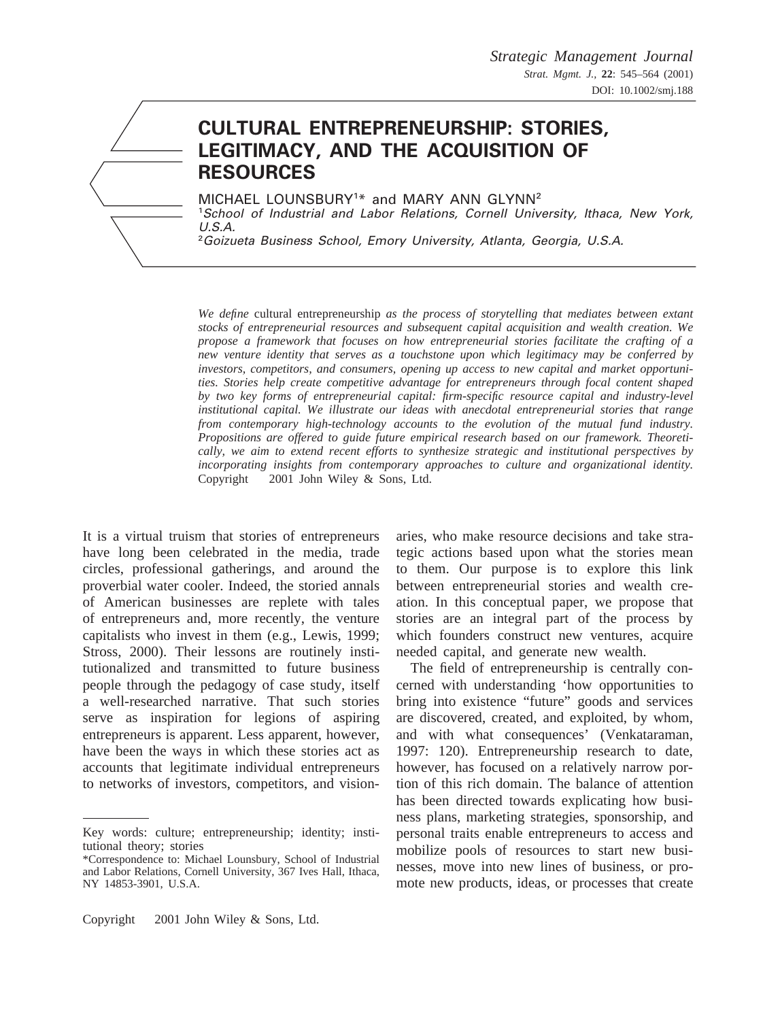# **CULTURAL ENTREPRENEURSHIP: STORIES, LEGITIMACY, AND THE ACQUISITION OF RESOURCES**

MICHAEL LOUNSBURY<sup>1\*</sup> and MARY ANN GLYNN<sup>2</sup> 1 School of Industrial and Labor Relations, Cornell University, Ithaca, New York, U.S.A.

<sup>2</sup> Goizueta Business School, Emory University, Atlanta, Georgia, U.S.A.

*We define* cultural entrepreneurship *as the process of storytelling that mediates between extant stocks of entrepreneurial resources and subsequent capital acquisition and wealth creation. We propose a framework that focuses on how entrepreneurial stories facilitate the crafting of a new venture identity that serves as a touchstone upon which legitimacy may be conferred by investors, competitors, and consumers, opening up access to new capital and market opportunities. Stories help create competitive advantage for entrepreneurs through focal content shaped by two key forms of entrepreneurial capital: firm-specific resource capital and industry-level institutional capital. We illustrate our ideas with anecdotal entrepreneurial stories that range from contemporary high-technology accounts to the evolution of the mutual fund industry. Propositions are offered to guide future empirical research based on our framework. Theoretically, we aim to extend recent efforts to synthesize strategic and institutional perspectives by incorporating insights from contemporary approaches to culture and organizational identity.* Copyright  $\odot$  2001 John Wiley & Sons, Ltd.

It is a virtual truism that stories of entrepreneurs have long been celebrated in the media, trade circles, professional gatherings, and around the proverbial water cooler. Indeed, the storied annals of American businesses are replete with tales of entrepreneurs and, more recently, the venture capitalists who invest in them (e.g., Lewis, 1999; Stross, 2000). Their lessons are routinely institutionalized and transmitted to future business people through the pedagogy of case study, itself a well-researched narrative. That such stories serve as inspiration for legions of aspiring entrepreneurs is apparent. Less apparent, however, have been the ways in which these stories act as accounts that legitimate individual entrepreneurs to networks of investors, competitors, and vision-

tegic actions based upon what the stories mean to them. Our purpose is to explore this link between entrepreneurial stories and wealth creation. In this conceptual paper, we propose that stories are an integral part of the process by which founders construct new ventures, acquire needed capital, and generate new wealth.

aries, who make resource decisions and take stra-

The field of entrepreneurship is centrally concerned with understanding 'how opportunities to bring into existence "future" goods and services are discovered, created, and exploited, by whom, and with what consequences' (Venkataraman, 1997: 120). Entrepreneurship research to date, however, has focused on a relatively narrow portion of this rich domain. The balance of attention has been directed towards explicating how business plans, marketing strategies, sponsorship, and personal traits enable entrepreneurs to access and mobilize pools of resources to start new businesses, move into new lines of business, or promote new products, ideas, or processes that create

Key words: culture; entrepreneurship; identity; institutional theory; stories

<sup>\*</sup>Correspondence to: Michael Lounsbury, School of Industrial and Labor Relations, Cornell University, 367 Ives Hall, Ithaca, NY 14853-3901, U.S.A.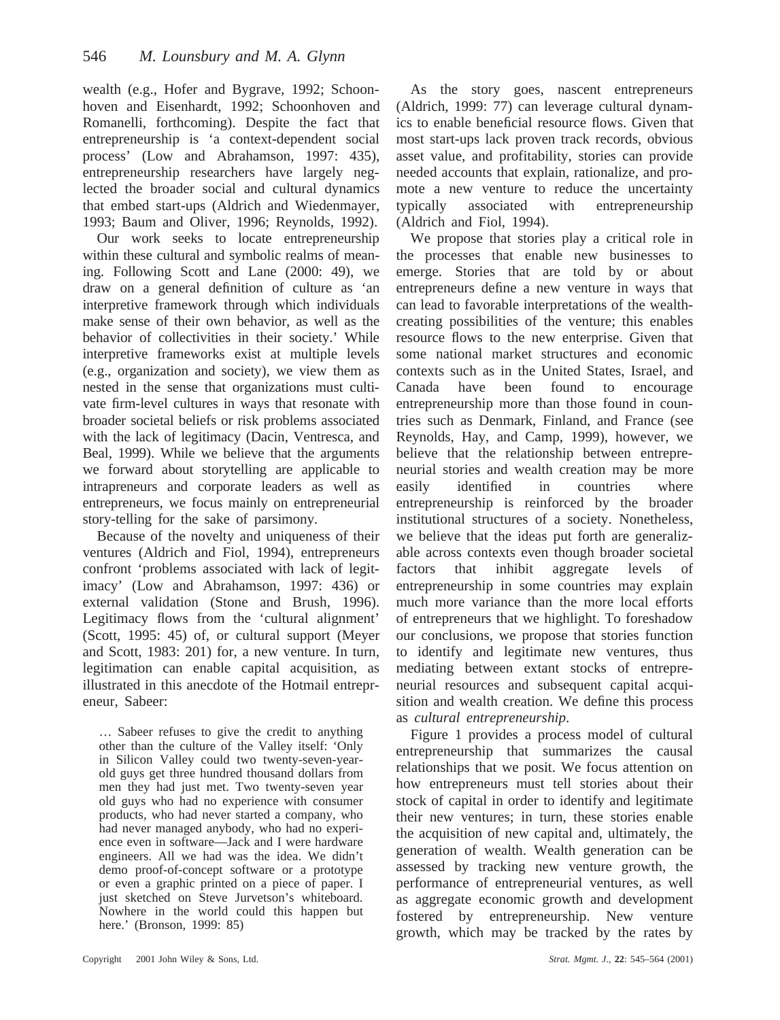wealth (e.g., Hofer and Bygrave, 1992; Schoonhoven and Eisenhardt, 1992; Schoonhoven and Romanelli, forthcoming). Despite the fact that entrepreneurship is 'a context-dependent social process' (Low and Abrahamson, 1997: 435), entrepreneurship researchers have largely neglected the broader social and cultural dynamics that embed start-ups (Aldrich and Wiedenmayer, 1993; Baum and Oliver, 1996; Reynolds, 1992).

Our work seeks to locate entrepreneurship within these cultural and symbolic realms of meaning. Following Scott and Lane (2000: 49), we draw on a general definition of culture as 'an interpretive framework through which individuals make sense of their own behavior, as well as the behavior of collectivities in their society.' While interpretive frameworks exist at multiple levels (e.g., organization and society), we view them as nested in the sense that organizations must cultivate firm-level cultures in ways that resonate with broader societal beliefs or risk problems associated with the lack of legitimacy (Dacin, Ventresca, and Beal, 1999). While we believe that the arguments we forward about storytelling are applicable to intrapreneurs and corporate leaders as well as entrepreneurs, we focus mainly on entrepreneurial story-telling for the sake of parsimony.

Because of the novelty and uniqueness of their ventures (Aldrich and Fiol, 1994), entrepreneurs confront 'problems associated with lack of legitimacy' (Low and Abrahamson, 1997: 436) or external validation (Stone and Brush, 1996). Legitimacy flows from the 'cultural alignment' (Scott, 1995: 45) of, or cultural support (Meyer and Scott, 1983: 201) for, a new venture. In turn, legitimation can enable capital acquisition, as illustrated in this anecdote of the Hotmail entrepreneur, Sabeer:

… Sabeer refuses to give the credit to anything other than the culture of the Valley itself: 'Only in Silicon Valley could two twenty-seven-yearold guys get three hundred thousand dollars from men they had just met. Two twenty-seven year old guys who had no experience with consumer products, who had never started a company, who had never managed anybody, who had no experience even in software—Jack and I were hardware engineers. All we had was the idea. We didn't demo proof-of-concept software or a prototype or even a graphic printed on a piece of paper. I just sketched on Steve Jurvetson's whiteboard. Nowhere in the world could this happen but here.' (Bronson, 1999: 85)

As the story goes, nascent entrepreneurs (Aldrich, 1999: 77) can leverage cultural dynamics to enable beneficial resource flows. Given that most start-ups lack proven track records, obvious asset value, and profitability, stories can provide needed accounts that explain, rationalize, and promote a new venture to reduce the uncertainty typically associated with entrepreneurship (Aldrich and Fiol, 1994).

We propose that stories play a critical role in the processes that enable new businesses to emerge. Stories that are told by or about entrepreneurs define a new venture in ways that can lead to favorable interpretations of the wealthcreating possibilities of the venture; this enables resource flows to the new enterprise. Given that some national market structures and economic contexts such as in the United States, Israel, and Canada have been found to encourage entrepreneurship more than those found in countries such as Denmark, Finland, and France (see Reynolds, Hay, and Camp, 1999), however, we believe that the relationship between entrepreneurial stories and wealth creation may be more easily identified in countries where entrepreneurship is reinforced by the broader institutional structures of a society. Nonetheless, we believe that the ideas put forth are generalizable across contexts even though broader societal factors that inhibit aggregate levels of entrepreneurship in some countries may explain much more variance than the more local efforts of entrepreneurs that we highlight. To foreshadow our conclusions, we propose that stories function to identify and legitimate new ventures, thus mediating between extant stocks of entrepreneurial resources and subsequent capital acquisition and wealth creation. We define this process as *cultural entrepreneurship*.

Figure 1 provides a process model of cultural entrepreneurship that summarizes the causal relationships that we posit. We focus attention on how entrepreneurs must tell stories about their stock of capital in order to identify and legitimate their new ventures; in turn, these stories enable the acquisition of new capital and, ultimately, the generation of wealth. Wealth generation can be assessed by tracking new venture growth, the performance of entrepreneurial ventures, as well as aggregate economic growth and development fostered by entrepreneurship. New venture growth, which may be tracked by the rates by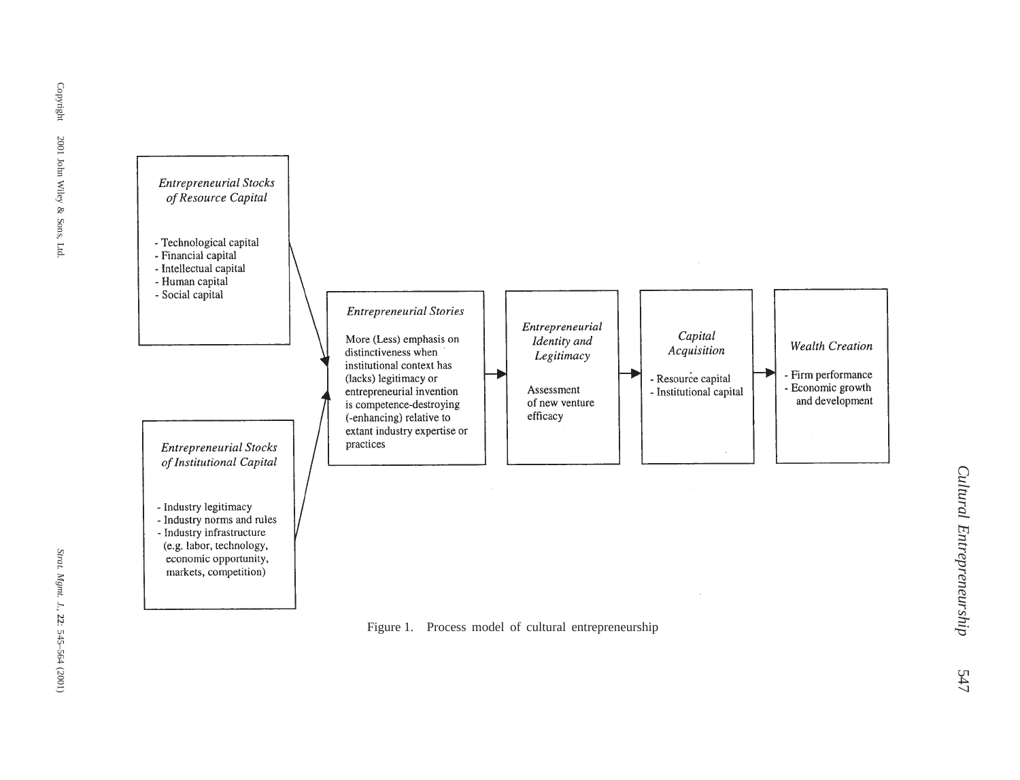

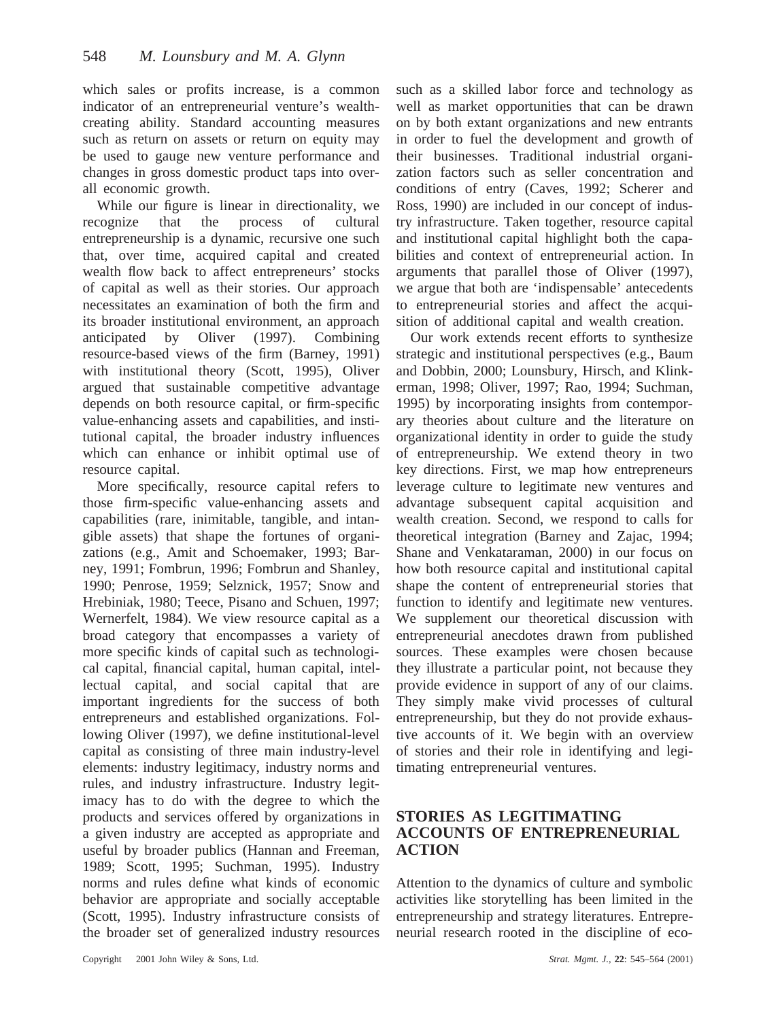which sales or profits increase, is a common indicator of an entrepreneurial venture's wealthcreating ability. Standard accounting measures such as return on assets or return on equity may be used to gauge new venture performance and changes in gross domestic product taps into overall economic growth.

While our figure is linear in directionality, we recognize that the process of cultural entrepreneurship is a dynamic, recursive one such that, over time, acquired capital and created wealth flow back to affect entrepreneurs' stocks of capital as well as their stories. Our approach necessitates an examination of both the firm and its broader institutional environment, an approach anticipated by Oliver (1997). Combining resource-based views of the firm (Barney, 1991) with institutional theory (Scott, 1995), Oliver argued that sustainable competitive advantage depends on both resource capital, or firm-specific value-enhancing assets and capabilities, and institutional capital, the broader industry influences which can enhance or inhibit optimal use of resource capital.

More specifically, resource capital refers to those firm-specific value-enhancing assets and capabilities (rare, inimitable, tangible, and intangible assets) that shape the fortunes of organizations (e.g., Amit and Schoemaker, 1993; Barney, 1991; Fombrun, 1996; Fombrun and Shanley, 1990; Penrose, 1959; Selznick, 1957; Snow and Hrebiniak, 1980; Teece, Pisano and Schuen, 1997; Wernerfelt, 1984). We view resource capital as a broad category that encompasses a variety of more specific kinds of capital such as technological capital, financial capital, human capital, intellectual capital, and social capital that are important ingredients for the success of both entrepreneurs and established organizations. Following Oliver (1997), we define institutional-level capital as consisting of three main industry-level elements: industry legitimacy, industry norms and rules, and industry infrastructure. Industry legitimacy has to do with the degree to which the products and services offered by organizations in a given industry are accepted as appropriate and useful by broader publics (Hannan and Freeman, 1989; Scott, 1995; Suchman, 1995). Industry norms and rules define what kinds of economic behavior are appropriate and socially acceptable (Scott, 1995). Industry infrastructure consists of the broader set of generalized industry resources

such as a skilled labor force and technology as well as market opportunities that can be drawn on by both extant organizations and new entrants in order to fuel the development and growth of their businesses. Traditional industrial organization factors such as seller concentration and conditions of entry (Caves, 1992; Scherer and Ross, 1990) are included in our concept of industry infrastructure. Taken together, resource capital and institutional capital highlight both the capabilities and context of entrepreneurial action. In arguments that parallel those of Oliver (1997), we argue that both are 'indispensable' antecedents to entrepreneurial stories and affect the acquisition of additional capital and wealth creation.

Our work extends recent efforts to synthesize strategic and institutional perspectives (e.g., Baum and Dobbin, 2000; Lounsbury, Hirsch, and Klinkerman, 1998; Oliver, 1997; Rao, 1994; Suchman, 1995) by incorporating insights from contemporary theories about culture and the literature on organizational identity in order to guide the study of entrepreneurship. We extend theory in two key directions. First, we map how entrepreneurs leverage culture to legitimate new ventures and advantage subsequent capital acquisition and wealth creation. Second, we respond to calls for theoretical integration (Barney and Zajac, 1994; Shane and Venkataraman, 2000) in our focus on how both resource capital and institutional capital shape the content of entrepreneurial stories that function to identify and legitimate new ventures. We supplement our theoretical discussion with entrepreneurial anecdotes drawn from published sources. These examples were chosen because they illustrate a particular point, not because they provide evidence in support of any of our claims. They simply make vivid processes of cultural entrepreneurship, but they do not provide exhaustive accounts of it. We begin with an overview of stories and their role in identifying and legitimating entrepreneurial ventures.

## **STORIES AS LEGITIMATING ACCOUNTS OF ENTREPRENEURIAL ACTION**

Attention to the dynamics of culture and symbolic activities like storytelling has been limited in the entrepreneurship and strategy literatures. Entrepreneurial research rooted in the discipline of eco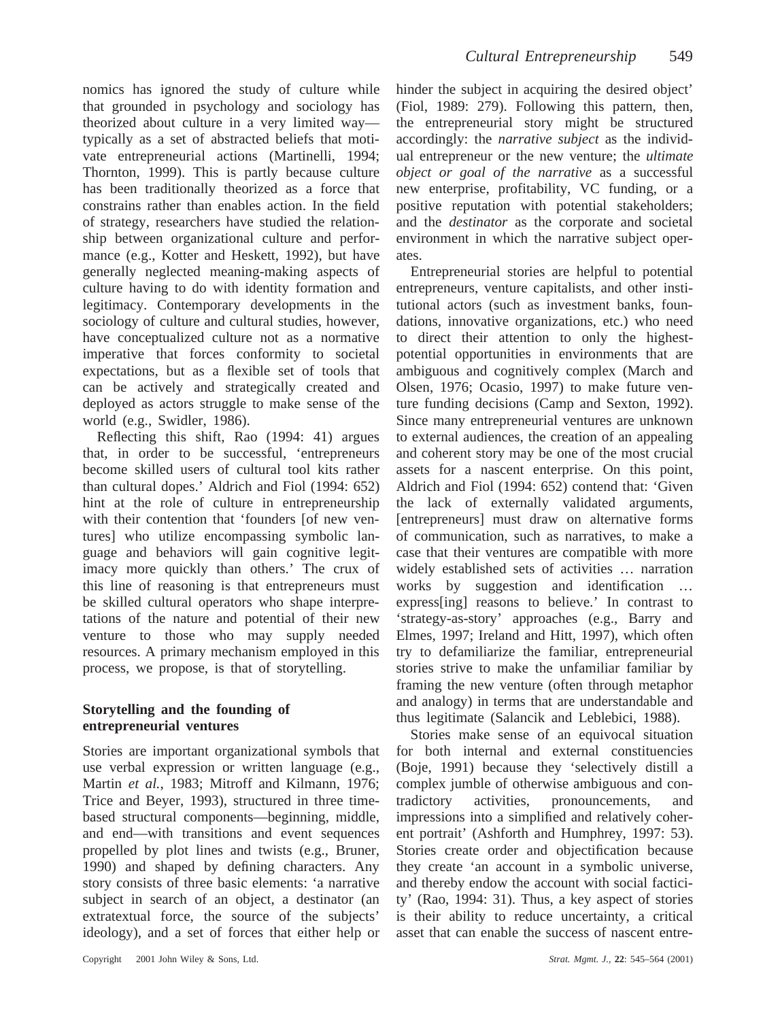nomics has ignored the study of culture while that grounded in psychology and sociology has theorized about culture in a very limited way typically as a set of abstracted beliefs that motivate entrepreneurial actions (Martinelli, 1994; Thornton, 1999). This is partly because culture has been traditionally theorized as a force that constrains rather than enables action. In the field of strategy, researchers have studied the relationship between organizational culture and performance (e.g., Kotter and Heskett, 1992), but have generally neglected meaning-making aspects of culture having to do with identity formation and legitimacy. Contemporary developments in the sociology of culture and cultural studies, however, have conceptualized culture not as a normative imperative that forces conformity to societal expectations, but as a flexible set of tools that can be actively and strategically created and deployed as actors struggle to make sense of the world (e.g., Swidler, 1986).

Reflecting this shift, Rao (1994: 41) argues that, in order to be successful, 'entrepreneurs become skilled users of cultural tool kits rather than cultural dopes.' Aldrich and Fiol (1994: 652) hint at the role of culture in entrepreneurship with their contention that 'founders [of new ventures] who utilize encompassing symbolic language and behaviors will gain cognitive legitimacy more quickly than others.' The crux of this line of reasoning is that entrepreneurs must be skilled cultural operators who shape interpretations of the nature and potential of their new venture to those who may supply needed resources. A primary mechanism employed in this process, we propose, is that of storytelling.

#### **Storytelling and the founding of entrepreneurial ventures**

Stories are important organizational symbols that use verbal expression or written language (e.g., Martin *et al.*, 1983; Mitroff and Kilmann, 1976; Trice and Beyer, 1993), structured in three timebased structural components—beginning, middle, and end—with transitions and event sequences propelled by plot lines and twists (e.g., Bruner, 1990) and shaped by defining characters. Any story consists of three basic elements: 'a narrative subject in search of an object, a destinator (an extratextual force, the source of the subjects' ideology), and a set of forces that either help or hinder the subject in acquiring the desired object' (Fiol, 1989: 279). Following this pattern, then, the entrepreneurial story might be structured accordingly: the *narrative subject* as the individual entrepreneur or the new venture; the *ultimate object or goal of the narrative* as a successful new enterprise, profitability, VC funding, or a positive reputation with potential stakeholders; and the *destinator* as the corporate and societal environment in which the narrative subject operates.

Entrepreneurial stories are helpful to potential entrepreneurs, venture capitalists, and other institutional actors (such as investment banks, foundations, innovative organizations, etc.) who need to direct their attention to only the highestpotential opportunities in environments that are ambiguous and cognitively complex (March and Olsen, 1976; Ocasio, 1997) to make future venture funding decisions (Camp and Sexton, 1992). Since many entrepreneurial ventures are unknown to external audiences, the creation of an appealing and coherent story may be one of the most crucial assets for a nascent enterprise. On this point, Aldrich and Fiol (1994: 652) contend that: 'Given the lack of externally validated arguments, [entrepreneurs] must draw on alternative forms of communication, such as narratives, to make a case that their ventures are compatible with more widely established sets of activities … narration works by suggestion and identification … express[ing] reasons to believe.' In contrast to 'strategy-as-story' approaches (e.g., Barry and Elmes, 1997; Ireland and Hitt, 1997), which often try to defamiliarize the familiar, entrepreneurial stories strive to make the unfamiliar familiar by framing the new venture (often through metaphor and analogy) in terms that are understandable and thus legitimate (Salancik and Leblebici, 1988).

Stories make sense of an equivocal situation for both internal and external constituencies (Boje, 1991) because they 'selectively distill a complex jumble of otherwise ambiguous and contradictory activities, pronouncements, and impressions into a simplified and relatively coherent portrait' (Ashforth and Humphrey, 1997: 53). Stories create order and objectification because they create 'an account in a symbolic universe, and thereby endow the account with social facticity' (Rao, 1994: 31). Thus, a key aspect of stories is their ability to reduce uncertainty, a critical asset that can enable the success of nascent entre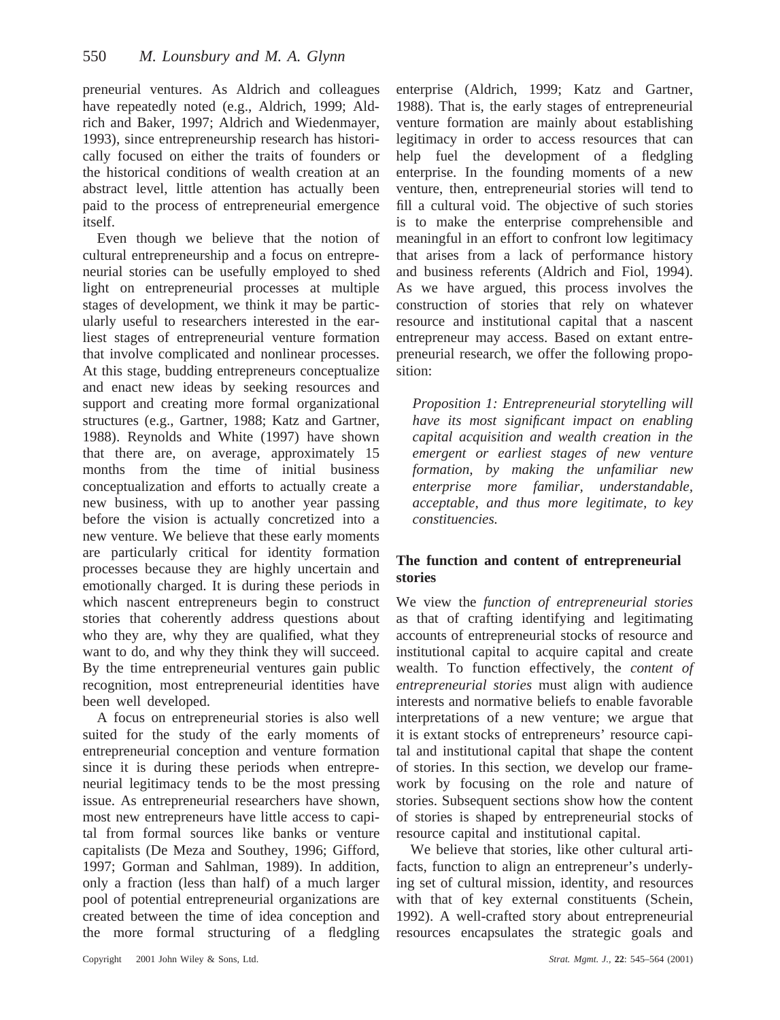preneurial ventures. As Aldrich and colleagues have repeatedly noted (e.g., Aldrich, 1999; Aldrich and Baker, 1997; Aldrich and Wiedenmayer, 1993), since entrepreneurship research has historically focused on either the traits of founders or the historical conditions of wealth creation at an abstract level, little attention has actually been paid to the process of entrepreneurial emergence itself.

Even though we believe that the notion of cultural entrepreneurship and a focus on entrepreneurial stories can be usefully employed to shed light on entrepreneurial processes at multiple stages of development, we think it may be particularly useful to researchers interested in the earliest stages of entrepreneurial venture formation that involve complicated and nonlinear processes. At this stage, budding entrepreneurs conceptualize and enact new ideas by seeking resources and support and creating more formal organizational structures (e.g., Gartner, 1988; Katz and Gartner, 1988). Reynolds and White (1997) have shown that there are, on average, approximately 15 months from the time of initial business conceptualization and efforts to actually create a new business, with up to another year passing before the vision is actually concretized into a new venture. We believe that these early moments are particularly critical for identity formation processes because they are highly uncertain and emotionally charged. It is during these periods in which nascent entrepreneurs begin to construct stories that coherently address questions about who they are, why they are qualified, what they want to do, and why they think they will succeed. By the time entrepreneurial ventures gain public recognition, most entrepreneurial identities have been well developed.

A focus on entrepreneurial stories is also well suited for the study of the early moments of entrepreneurial conception and venture formation since it is during these periods when entrepreneurial legitimacy tends to be the most pressing issue. As entrepreneurial researchers have shown, most new entrepreneurs have little access to capital from formal sources like banks or venture capitalists (De Meza and Southey, 1996; Gifford, 1997; Gorman and Sahlman, 1989). In addition, only a fraction (less than half) of a much larger pool of potential entrepreneurial organizations are created between the time of idea conception and the more formal structuring of a fledgling

enterprise (Aldrich, 1999; Katz and Gartner, 1988). That is, the early stages of entrepreneurial venture formation are mainly about establishing legitimacy in order to access resources that can help fuel the development of a fledgling enterprise. In the founding moments of a new venture, then, entrepreneurial stories will tend to fill a cultural void. The objective of such stories is to make the enterprise comprehensible and meaningful in an effort to confront low legitimacy that arises from a lack of performance history and business referents (Aldrich and Fiol, 1994). As we have argued, this process involves the construction of stories that rely on whatever resource and institutional capital that a nascent entrepreneur may access. Based on extant entrepreneurial research, we offer the following proposition:

*Proposition 1: Entrepreneurial storytelling will have its most significant impact on enabling capital acquisition and wealth creation in the emergent or earliest stages of new venture formation, by making the unfamiliar new enterprise more familiar, understandable, acceptable, and thus more legitimate, to key constituencies.*

## **The function and content of entrepreneurial stories**

We view the *function of entrepreneurial stories* as that of crafting identifying and legitimating accounts of entrepreneurial stocks of resource and institutional capital to acquire capital and create wealth. To function effectively, the *content of entrepreneurial stories* must align with audience interests and normative beliefs to enable favorable interpretations of a new venture; we argue that it is extant stocks of entrepreneurs' resource capital and institutional capital that shape the content of stories. In this section, we develop our framework by focusing on the role and nature of stories. Subsequent sections show how the content of stories is shaped by entrepreneurial stocks of resource capital and institutional capital.

We believe that stories, like other cultural artifacts, function to align an entrepreneur's underlying set of cultural mission, identity, and resources with that of key external constituents (Schein, 1992). A well-crafted story about entrepreneurial resources encapsulates the strategic goals and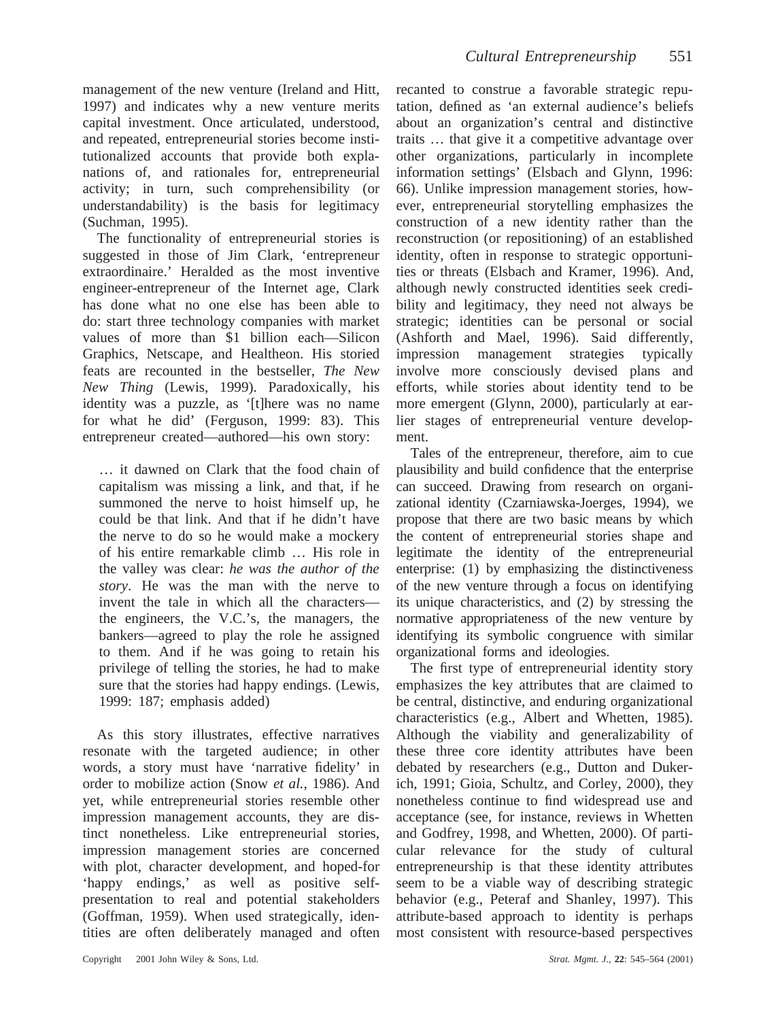management of the new venture (Ireland and Hitt, 1997) and indicates why a new venture merits capital investment. Once articulated, understood, and repeated, entrepreneurial stories become institutionalized accounts that provide both explanations of, and rationales for, entrepreneurial activity; in turn, such comprehensibility (or understandability) is the basis for legitimacy (Suchman, 1995).

The functionality of entrepreneurial stories is suggested in those of Jim Clark, 'entrepreneur extraordinaire.' Heralded as the most inventive engineer-entrepreneur of the Internet age, Clark has done what no one else has been able to do: start three technology companies with market values of more than \$1 billion each—Silicon Graphics, Netscape, and Healtheon. His storied feats are recounted in the bestseller, *The New New Thing* (Lewis, 1999). Paradoxically, his identity was a puzzle, as '[t]here was no name for what he did' (Ferguson, 1999: 83). This entrepreneur created—authored—his own story:

… it dawned on Clark that the food chain of capitalism was missing a link, and that, if he summoned the nerve to hoist himself up, he could be that link. And that if he didn't have the nerve to do so he would make a mockery of his entire remarkable climb … His role in the valley was clear: *he was the author of the story*. He was the man with the nerve to invent the tale in which all the characters the engineers, the V.C.'s, the managers, the bankers—agreed to play the role he assigned to them. And if he was going to retain his privilege of telling the stories, he had to make sure that the stories had happy endings. (Lewis, 1999: 187; emphasis added)

As this story illustrates, effective narratives resonate with the targeted audience; in other words, a story must have 'narrative fidelity' in order to mobilize action (Snow *et al.*, 1986). And yet, while entrepreneurial stories resemble other impression management accounts, they are distinct nonetheless. Like entrepreneurial stories, impression management stories are concerned with plot, character development, and hoped-for 'happy endings,' as well as positive selfpresentation to real and potential stakeholders (Goffman, 1959). When used strategically, identities are often deliberately managed and often

recanted to construe a favorable strategic reputation, defined as 'an external audience's beliefs about an organization's central and distinctive traits … that give it a competitive advantage over other organizations, particularly in incomplete information settings' (Elsbach and Glynn, 1996: 66). Unlike impression management stories, however, entrepreneurial storytelling emphasizes the construction of a new identity rather than the reconstruction (or repositioning) of an established identity, often in response to strategic opportunities or threats (Elsbach and Kramer, 1996). And, although newly constructed identities seek credibility and legitimacy, they need not always be strategic; identities can be personal or social (Ashforth and Mael, 1996). Said differently, impression management strategies typically involve more consciously devised plans and efforts, while stories about identity tend to be more emergent (Glynn, 2000), particularly at earlier stages of entrepreneurial venture development.

Tales of the entrepreneur, therefore, aim to cue plausibility and build confidence that the enterprise can succeed. Drawing from research on organizational identity (Czarniawska-Joerges, 1994), we propose that there are two basic means by which the content of entrepreneurial stories shape and legitimate the identity of the entrepreneurial enterprise: (1) by emphasizing the distinctiveness of the new venture through a focus on identifying its unique characteristics, and (2) by stressing the normative appropriateness of the new venture by identifying its symbolic congruence with similar organizational forms and ideologies.

The first type of entrepreneurial identity story emphasizes the key attributes that are claimed to be central, distinctive, and enduring organizational characteristics (e.g., Albert and Whetten, 1985). Although the viability and generalizability of these three core identity attributes have been debated by researchers (e.g., Dutton and Dukerich, 1991; Gioia, Schultz, and Corley, 2000), they nonetheless continue to find widespread use and acceptance (see, for instance, reviews in Whetten and Godfrey, 1998, and Whetten, 2000). Of particular relevance for the study of cultural entrepreneurship is that these identity attributes seem to be a viable way of describing strategic behavior (e.g., Peteraf and Shanley, 1997). This attribute-based approach to identity is perhaps most consistent with resource-based perspectives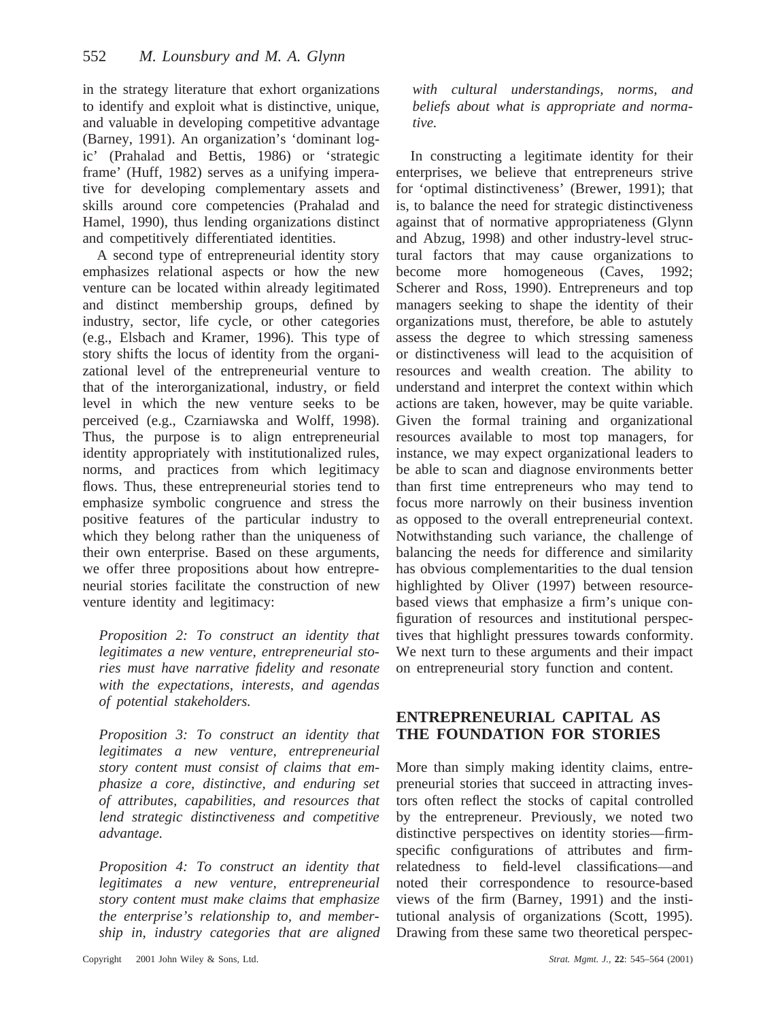in the strategy literature that exhort organizations to identify and exploit what is distinctive, unique, and valuable in developing competitive advantage (Barney, 1991). An organization's 'dominant logic' (Prahalad and Bettis, 1986) or 'strategic frame' (Huff, 1982) serves as a unifying imperative for developing complementary assets and skills around core competencies (Prahalad and Hamel, 1990), thus lending organizations distinct and competitively differentiated identities.

A second type of entrepreneurial identity story emphasizes relational aspects or how the new venture can be located within already legitimated and distinct membership groups, defined by industry, sector, life cycle, or other categories (e.g., Elsbach and Kramer, 1996). This type of story shifts the locus of identity from the organizational level of the entrepreneurial venture to that of the interorganizational, industry, or field level in which the new venture seeks to be perceived (e.g., Czarniawska and Wolff, 1998). Thus, the purpose is to align entrepreneurial identity appropriately with institutionalized rules, norms, and practices from which legitimacy flows. Thus, these entrepreneurial stories tend to emphasize symbolic congruence and stress the positive features of the particular industry to which they belong rather than the uniqueness of their own enterprise. Based on these arguments, we offer three propositions about how entrepreneurial stories facilitate the construction of new venture identity and legitimacy:

*Proposition 2: To construct an identity that legitimates a new venture, entrepreneurial stories must have narrative fidelity and resonate with the expectations, interests, and agendas of potential stakeholders.*

*Proposition 3: To construct an identity that legitimates a new venture, entrepreneurial story content must consist of claims that emphasize a core, distinctive, and enduring set of attributes, capabilities, and resources that lend strategic distinctiveness and competitive advantage.*

*Proposition 4: To construct an identity that legitimates a new venture, entrepreneurial story content must make claims that emphasize the enterprise's relationship to, and membership in, industry categories that are aligned* *with cultural understandings, norms, and beliefs about what is appropriate and normative.*

In constructing a legitimate identity for their enterprises, we believe that entrepreneurs strive for 'optimal distinctiveness' (Brewer, 1991); that is, to balance the need for strategic distinctiveness against that of normative appropriateness (Glynn and Abzug, 1998) and other industry-level structural factors that may cause organizations to become more homogeneous (Caves, 1992; Scherer and Ross, 1990). Entrepreneurs and top managers seeking to shape the identity of their organizations must, therefore, be able to astutely assess the degree to which stressing sameness or distinctiveness will lead to the acquisition of resources and wealth creation. The ability to understand and interpret the context within which actions are taken, however, may be quite variable. Given the formal training and organizational resources available to most top managers, for instance, we may expect organizational leaders to be able to scan and diagnose environments better than first time entrepreneurs who may tend to focus more narrowly on their business invention as opposed to the overall entrepreneurial context. Notwithstanding such variance, the challenge of balancing the needs for difference and similarity has obvious complementarities to the dual tension highlighted by Oliver (1997) between resourcebased views that emphasize a firm's unique configuration of resources and institutional perspectives that highlight pressures towards conformity. We next turn to these arguments and their impact on entrepreneurial story function and content.

## **ENTREPRENEURIAL CAPITAL AS THE FOUNDATION FOR STORIES**

More than simply making identity claims, entrepreneurial stories that succeed in attracting investors often reflect the stocks of capital controlled by the entrepreneur. Previously, we noted two distinctive perspectives on identity stories—firmspecific configurations of attributes and firmrelatedness to field-level classifications—and noted their correspondence to resource-based views of the firm (Barney, 1991) and the institutional analysis of organizations (Scott, 1995). Drawing from these same two theoretical perspec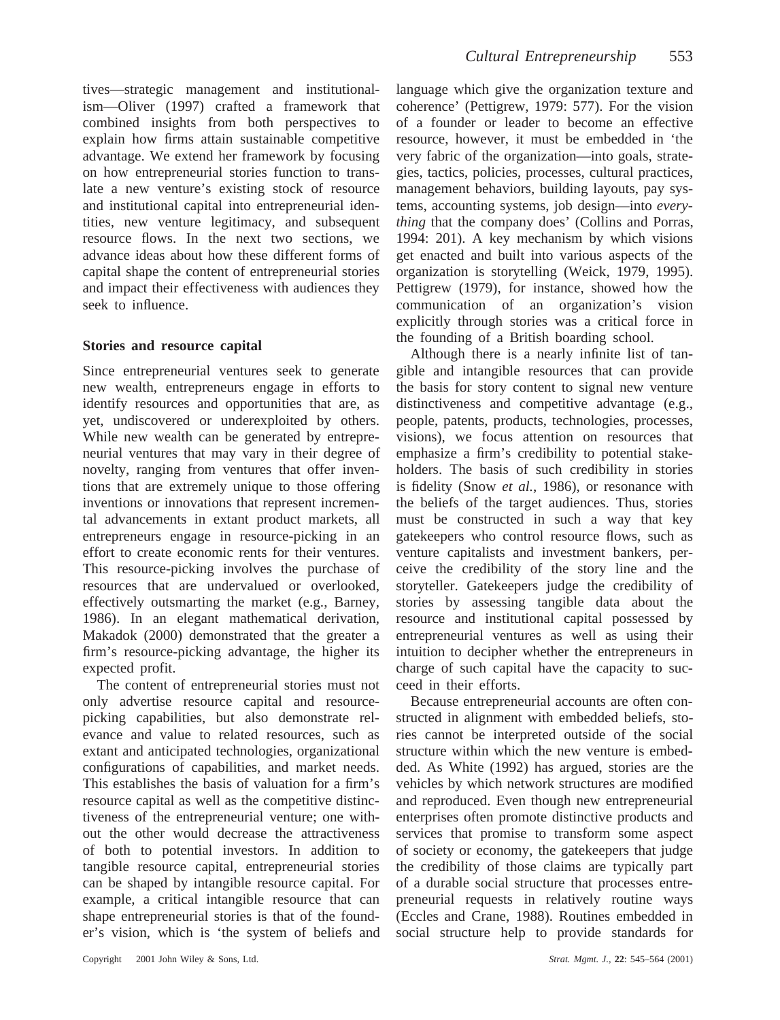tives—strategic management and institutionalism—Oliver (1997) crafted a framework that combined insights from both perspectives to explain how firms attain sustainable competitive advantage. We extend her framework by focusing on how entrepreneurial stories function to translate a new venture's existing stock of resource and institutional capital into entrepreneurial identities, new venture legitimacy, and subsequent resource flows. In the next two sections, we advance ideas about how these different forms of capital shape the content of entrepreneurial stories and impact their effectiveness with audiences they seek to influence.

#### **Stories and resource capital**

Since entrepreneurial ventures seek to generate new wealth, entrepreneurs engage in efforts to identify resources and opportunities that are, as yet, undiscovered or underexploited by others. While new wealth can be generated by entrepreneurial ventures that may vary in their degree of novelty, ranging from ventures that offer inventions that are extremely unique to those offering inventions or innovations that represent incremental advancements in extant product markets, all entrepreneurs engage in resource-picking in an effort to create economic rents for their ventures. This resource-picking involves the purchase of resources that are undervalued or overlooked, effectively outsmarting the market (e.g., Barney, 1986). In an elegant mathematical derivation, Makadok (2000) demonstrated that the greater a firm's resource-picking advantage, the higher its expected profit.

The content of entrepreneurial stories must not only advertise resource capital and resourcepicking capabilities, but also demonstrate relevance and value to related resources, such as extant and anticipated technologies, organizational configurations of capabilities, and market needs. This establishes the basis of valuation for a firm's resource capital as well as the competitive distinctiveness of the entrepreneurial venture; one without the other would decrease the attractiveness of both to potential investors. In addition to tangible resource capital, entrepreneurial stories can be shaped by intangible resource capital. For example, a critical intangible resource that can shape entrepreneurial stories is that of the founder's vision, which is 'the system of beliefs and

language which give the organization texture and coherence' (Pettigrew, 1979: 577). For the vision of a founder or leader to become an effective resource, however, it must be embedded in 'the very fabric of the organization—into goals, strategies, tactics, policies, processes, cultural practices, management behaviors, building layouts, pay systems, accounting systems, job design—into *everything* that the company does' (Collins and Porras, 1994: 201). A key mechanism by which visions get enacted and built into various aspects of the organization is storytelling (Weick, 1979, 1995). Pettigrew (1979), for instance, showed how the communication of an organization's vision explicitly through stories was a critical force in the founding of a British boarding school.

Although there is a nearly infinite list of tangible and intangible resources that can provide the basis for story content to signal new venture distinctiveness and competitive advantage (e.g., people, patents, products, technologies, processes, visions), we focus attention on resources that emphasize a firm's credibility to potential stakeholders. The basis of such credibility in stories is fidelity (Snow *et al.*, 1986), or resonance with the beliefs of the target audiences. Thus, stories must be constructed in such a way that key gatekeepers who control resource flows, such as venture capitalists and investment bankers, perceive the credibility of the story line and the storyteller. Gatekeepers judge the credibility of stories by assessing tangible data about the resource and institutional capital possessed by entrepreneurial ventures as well as using their intuition to decipher whether the entrepreneurs in charge of such capital have the capacity to succeed in their efforts.

Because entrepreneurial accounts are often constructed in alignment with embedded beliefs, stories cannot be interpreted outside of the social structure within which the new venture is embedded. As White (1992) has argued, stories are the vehicles by which network structures are modified and reproduced. Even though new entrepreneurial enterprises often promote distinctive products and services that promise to transform some aspect of society or economy, the gatekeepers that judge the credibility of those claims are typically part of a durable social structure that processes entrepreneurial requests in relatively routine ways (Eccles and Crane, 1988). Routines embedded in social structure help to provide standards for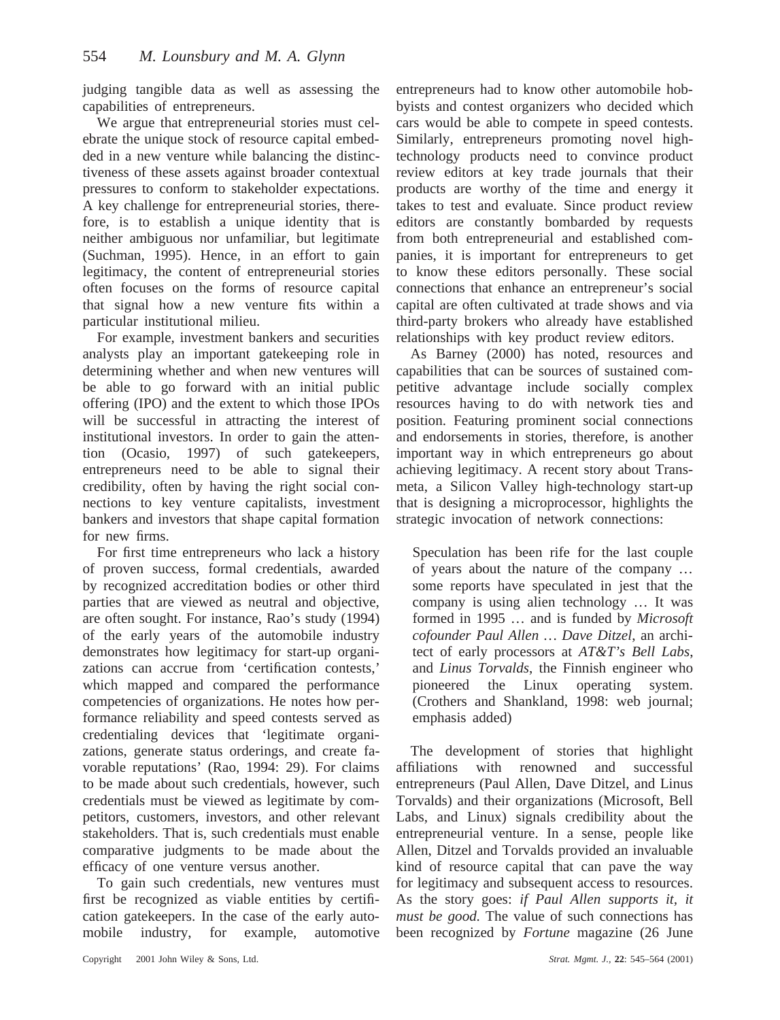judging tangible data as well as assessing the capabilities of entrepreneurs.

We argue that entrepreneurial stories must celebrate the unique stock of resource capital embedded in a new venture while balancing the distinctiveness of these assets against broader contextual pressures to conform to stakeholder expectations. A key challenge for entrepreneurial stories, therefore, is to establish a unique identity that is neither ambiguous nor unfamiliar, but legitimate (Suchman, 1995). Hence, in an effort to gain legitimacy, the content of entrepreneurial stories often focuses on the forms of resource capital that signal how a new venture fits within a particular institutional milieu.

For example, investment bankers and securities analysts play an important gatekeeping role in determining whether and when new ventures will be able to go forward with an initial public offering (IPO) and the extent to which those IPOs will be successful in attracting the interest of institutional investors. In order to gain the attention (Ocasio, 1997) of such gatekeepers, entrepreneurs need to be able to signal their credibility, often by having the right social connections to key venture capitalists, investment bankers and investors that shape capital formation for new firms.

For first time entrepreneurs who lack a history of proven success, formal credentials, awarded by recognized accreditation bodies or other third parties that are viewed as neutral and objective, are often sought. For instance, Rao's study (1994) of the early years of the automobile industry demonstrates how legitimacy for start-up organizations can accrue from 'certification contests,' which mapped and compared the performance competencies of organizations. He notes how performance reliability and speed contests served as credentialing devices that 'legitimate organizations, generate status orderings, and create favorable reputations' (Rao, 1994: 29). For claims to be made about such credentials, however, such credentials must be viewed as legitimate by competitors, customers, investors, and other relevant stakeholders. That is, such credentials must enable comparative judgments to be made about the efficacy of one venture versus another.

To gain such credentials, new ventures must first be recognized as viable entities by certification gatekeepers. In the case of the early automobile industry, for example, automotive entrepreneurs had to know other automobile hobbyists and contest organizers who decided which cars would be able to compete in speed contests. Similarly, entrepreneurs promoting novel hightechnology products need to convince product review editors at key trade journals that their products are worthy of the time and energy it takes to test and evaluate. Since product review editors are constantly bombarded by requests from both entrepreneurial and established companies, it is important for entrepreneurs to get to know these editors personally. These social connections that enhance an entrepreneur's social capital are often cultivated at trade shows and via third-party brokers who already have established relationships with key product review editors.

As Barney (2000) has noted, resources and capabilities that can be sources of sustained competitive advantage include socially complex resources having to do with network ties and position. Featuring prominent social connections and endorsements in stories, therefore, is another important way in which entrepreneurs go about achieving legitimacy. A recent story about Transmeta, a Silicon Valley high-technology start-up that is designing a microprocessor, highlights the strategic invocation of network connections:

Speculation has been rife for the last couple of years about the nature of the company … some reports have speculated in jest that the company is using alien technology … It was formed in 1995 … and is funded by *Microsoft cofounder Paul Allen … Dave Ditzel*, an architect of early processors at *AT&T's Bell Labs*, and *Linus Torvalds*, the Finnish engineer who pioneered the Linux operating system. (Crothers and Shankland, 1998: web journal; emphasis added)

The development of stories that highlight affiliations with renowned and successful entrepreneurs (Paul Allen, Dave Ditzel, and Linus Torvalds) and their organizations (Microsoft, Bell Labs, and Linux) signals credibility about the entrepreneurial venture. In a sense, people like Allen, Ditzel and Torvalds provided an invaluable kind of resource capital that can pave the way for legitimacy and subsequent access to resources. As the story goes: *if Paul Allen supports it, it must be good.* The value of such connections has been recognized by *Fortune* magazine (26 June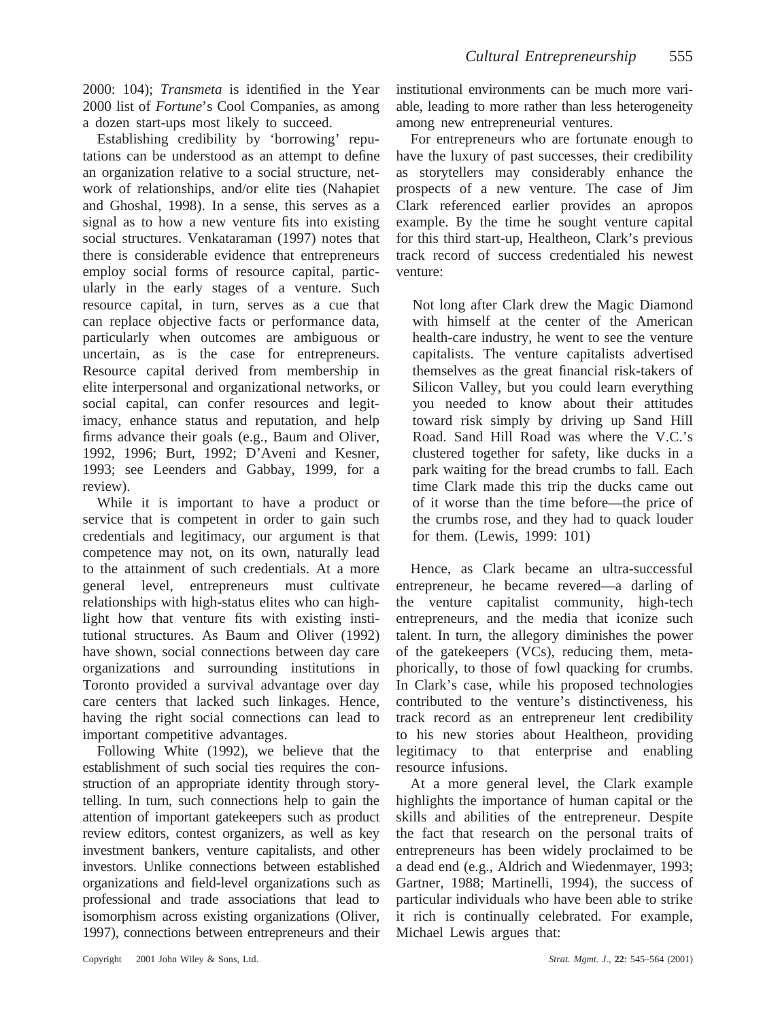2000: 104); *Transmeta* is identified in the Year 2000 list of *Fortune*'s Cool Companies, as among a dozen start-ups most likely to succeed.

Establishing credibility by 'borrowing' reputations can be understood as an attempt to define an organization relative to a social structure, network of relationships, and/or elite ties (Nahapiet and Ghoshal, 1998). In a sense, this serves as a signal as to how a new venture fits into existing social structures. Venkataraman (1997) notes that there is considerable evidence that entrepreneurs employ social forms of resource capital, particularly in the early stages of a venture. Such resource capital, in turn, serves as a cue that can replace objective facts or performance data, particularly when outcomes are ambiguous or uncertain, as is the case for entrepreneurs. Resource capital derived from membership in elite interpersonal and organizational networks, or social capital, can confer resources and legitimacy, enhance status and reputation, and help firms advance their goals (e.g., Baum and Oliver, 1992, 1996; Burt, 1992; D'Aveni and Kesner, 1993; see Leenders and Gabbay, 1999, for a review).

While it is important to have a product or service that is competent in order to gain such credentials and legitimacy, our argument is that competence may not, on its own, naturally lead to the attainment of such credentials. At a more general level, entrepreneurs must cultivate relationships with high-status elites who can highlight how that venture fits with existing institutional structures. As Baum and Oliver (1992) have shown, social connections between day care organizations and surrounding institutions in Toronto provided a survival advantage over day care centers that lacked such linkages. Hence, having the right social connections can lead to important competitive advantages.

Following White (1992), we believe that the establishment of such social ties requires the construction of an appropriate identity through storytelling. In turn, such connections help to gain the attention of important gatekeepers such as product review editors, contest organizers, as well as key investment bankers, venture capitalists, and other investors. Unlike connections between established organizations and field-level organizations such as professional and trade associations that lead to isomorphism across existing organizations (Oliver, 1997), connections between entrepreneurs and their

institutional environments can be much more variable, leading to more rather than less heterogeneity among new entrepreneurial ventures.

For entrepreneurs who are fortunate enough to have the luxury of past successes, their credibility as storytellers may considerably enhance the prospects of a new venture. The case of Jim Clark referenced earlier provides an apropos example. By the time he sought venture capital for this third start-up, Healtheon, Clark's previous track record of success credentialed his newest venture:

Not long after Clark drew the Magic Diamond with himself at the center of the American health-care industry, he went to see the venture capitalists. The venture capitalists advertised themselves as the great financial risk-takers of Silicon Valley, but you could learn everything you needed to know about their attitudes toward risk simply by driving up Sand Hill Road. Sand Hill Road was where the V.C.'s clustered together for safety, like ducks in a park waiting for the bread crumbs to fall. Each time Clark made this trip the ducks came out of it worse than the time before—the price of the crumbs rose, and they had to quack louder for them. (Lewis, 1999: 101)

Hence, as Clark became an ultra-successful entrepreneur, he became revered—a darling of the venture capitalist community, high-tech entrepreneurs, and the media that iconize such talent. In turn, the allegory diminishes the power of the gatekeepers (VCs), reducing them, metaphorically, to those of fowl quacking for crumbs. In Clark's case, while his proposed technologies contributed to the venture's distinctiveness, his track record as an entrepreneur lent credibility to his new stories about Healtheon, providing legitimacy to that enterprise and enabling resource infusions.

At a more general level, the Clark example highlights the importance of human capital or the skills and abilities of the entrepreneur. Despite the fact that research on the personal traits of entrepreneurs has been widely proclaimed to be a dead end (e.g., Aldrich and Wiedenmayer, 1993; Gartner, 1988; Martinelli, 1994), the success of particular individuals who have been able to strike it rich is continually celebrated. For example, Michael Lewis argues that: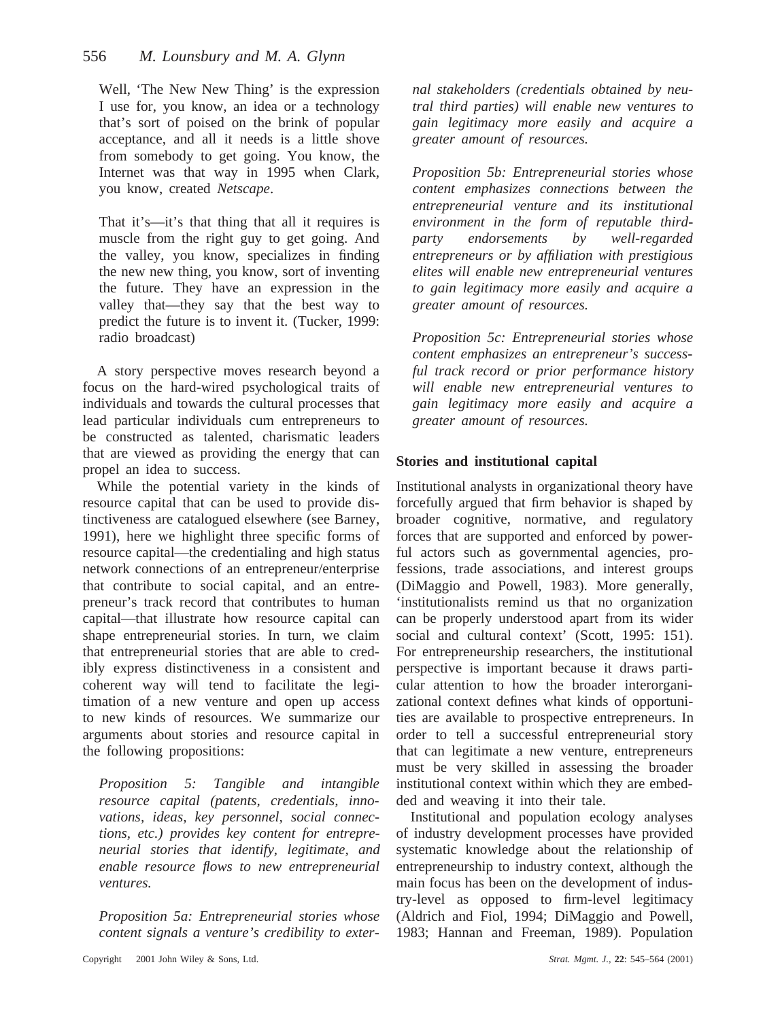Well, 'The New New Thing' is the expression I use for, you know, an idea or a technology that's sort of poised on the brink of popular acceptance, and all it needs is a little shove from somebody to get going. You know, the Internet was that way in 1995 when Clark, you know, created *Netscape*.

That it's—it's that thing that all it requires is muscle from the right guy to get going. And the valley, you know, specializes in finding the new new thing, you know, sort of inventing the future. They have an expression in the valley that—they say that the best way to predict the future is to invent it. (Tucker, 1999: radio broadcast)

A story perspective moves research beyond a focus on the hard-wired psychological traits of individuals and towards the cultural processes that lead particular individuals cum entrepreneurs to be constructed as talented, charismatic leaders that are viewed as providing the energy that can propel an idea to success.

While the potential variety in the kinds of resource capital that can be used to provide distinctiveness are catalogued elsewhere (see Barney, 1991), here we highlight three specific forms of resource capital—the credentialing and high status network connections of an entrepreneur/enterprise that contribute to social capital, and an entrepreneur's track record that contributes to human capital—that illustrate how resource capital can shape entrepreneurial stories. In turn, we claim that entrepreneurial stories that are able to credibly express distinctiveness in a consistent and coherent way will tend to facilitate the legitimation of a new venture and open up access to new kinds of resources. We summarize our arguments about stories and resource capital in the following propositions:

*Proposition 5: Tangible and intangible resource capital (patents, credentials, innovations, ideas, key personnel, social connections, etc.) provides key content for entrepreneurial stories that identify, legitimate, and enable resource flows to new entrepreneurial ventures.*

*Proposition 5a: Entrepreneurial stories whose content signals a venture's credibility to exter-* *nal stakeholders (credentials obtained by neutral third parties) will enable new ventures to gain legitimacy more easily and acquire a greater amount of resources.*

*Proposition 5b: Entrepreneurial stories whose content emphasizes connections between the entrepreneurial venture and its institutional environment in the form of reputable thirdparty endorsements by well-regarded entrepreneurs or by affiliation with prestigious elites will enable new entrepreneurial ventures to gain legitimacy more easily and acquire a greater amount of resources.*

*Proposition 5c: Entrepreneurial stories whose content emphasizes an entrepreneur's successful track record or prior performance history will enable new entrepreneurial ventures to gain legitimacy more easily and acquire a greater amount of resources.*

## **Stories and institutional capital**

Institutional analysts in organizational theory have forcefully argued that firm behavior is shaped by broader cognitive, normative, and regulatory forces that are supported and enforced by powerful actors such as governmental agencies, professions, trade associations, and interest groups (DiMaggio and Powell, 1983). More generally, 'institutionalists remind us that no organization can be properly understood apart from its wider social and cultural context' (Scott, 1995: 151). For entrepreneurship researchers, the institutional perspective is important because it draws particular attention to how the broader interorganizational context defines what kinds of opportunities are available to prospective entrepreneurs. In order to tell a successful entrepreneurial story that can legitimate a new venture, entrepreneurs must be very skilled in assessing the broader institutional context within which they are embedded and weaving it into their tale.

Institutional and population ecology analyses of industry development processes have provided systematic knowledge about the relationship of entrepreneurship to industry context, although the main focus has been on the development of industry-level as opposed to firm-level legitimacy (Aldrich and Fiol, 1994; DiMaggio and Powell, 1983; Hannan and Freeman, 1989). Population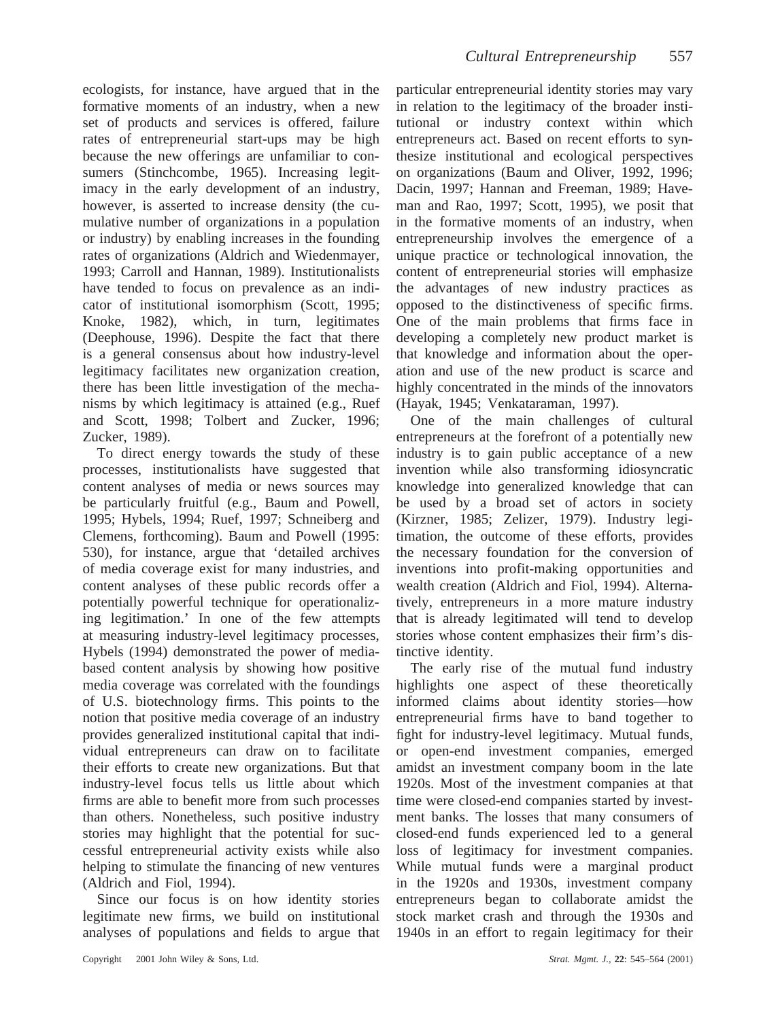ecologists, for instance, have argued that in the formative moments of an industry, when a new set of products and services is offered, failure rates of entrepreneurial start-ups may be high because the new offerings are unfamiliar to consumers (Stinchcombe, 1965). Increasing legitimacy in the early development of an industry, however, is asserted to increase density (the cumulative number of organizations in a population or industry) by enabling increases in the founding rates of organizations (Aldrich and Wiedenmayer, 1993; Carroll and Hannan, 1989). Institutionalists have tended to focus on prevalence as an indicator of institutional isomorphism (Scott, 1995; Knoke, 1982), which, in turn, legitimates (Deephouse, 1996). Despite the fact that there is a general consensus about how industry-level legitimacy facilitates new organization creation, there has been little investigation of the mechanisms by which legitimacy is attained (e.g., Ruef and Scott, 1998; Tolbert and Zucker, 1996; Zucker, 1989).

To direct energy towards the study of these processes, institutionalists have suggested that content analyses of media or news sources may be particularly fruitful (e.g., Baum and Powell, 1995; Hybels, 1994; Ruef, 1997; Schneiberg and Clemens, forthcoming). Baum and Powell (1995: 530), for instance, argue that 'detailed archives of media coverage exist for many industries, and content analyses of these public records offer a potentially powerful technique for operationalizing legitimation.' In one of the few attempts at measuring industry-level legitimacy processes, Hybels (1994) demonstrated the power of mediabased content analysis by showing how positive media coverage was correlated with the foundings of U.S. biotechnology firms. This points to the notion that positive media coverage of an industry provides generalized institutional capital that individual entrepreneurs can draw on to facilitate their efforts to create new organizations. But that industry-level focus tells us little about which firms are able to benefit more from such processes than others. Nonetheless, such positive industry stories may highlight that the potential for successful entrepreneurial activity exists while also helping to stimulate the financing of new ventures (Aldrich and Fiol, 1994).

Since our focus is on how identity stories legitimate new firms, we build on institutional analyses of populations and fields to argue that

particular entrepreneurial identity stories may vary in relation to the legitimacy of the broader institutional or industry context within which entrepreneurs act. Based on recent efforts to synthesize institutional and ecological perspectives on organizations (Baum and Oliver, 1992, 1996; Dacin, 1997; Hannan and Freeman, 1989; Haveman and Rao, 1997; Scott, 1995), we posit that in the formative moments of an industry, when entrepreneurship involves the emergence of a unique practice or technological innovation, the content of entrepreneurial stories will emphasize the advantages of new industry practices as opposed to the distinctiveness of specific firms. One of the main problems that firms face in developing a completely new product market is that knowledge and information about the operation and use of the new product is scarce and highly concentrated in the minds of the innovators (Hayak, 1945; Venkataraman, 1997).

One of the main challenges of cultural entrepreneurs at the forefront of a potentially new industry is to gain public acceptance of a new invention while also transforming idiosyncratic knowledge into generalized knowledge that can be used by a broad set of actors in society (Kirzner, 1985; Zelizer, 1979). Industry legitimation, the outcome of these efforts, provides the necessary foundation for the conversion of inventions into profit-making opportunities and wealth creation (Aldrich and Fiol, 1994). Alternatively, entrepreneurs in a more mature industry that is already legitimated will tend to develop stories whose content emphasizes their firm's distinctive identity.

The early rise of the mutual fund industry highlights one aspect of these theoretically informed claims about identity stories—how entrepreneurial firms have to band together to fight for industry-level legitimacy. Mutual funds, or open-end investment companies, emerged amidst an investment company boom in the late 1920s. Most of the investment companies at that time were closed-end companies started by investment banks. The losses that many consumers of closed-end funds experienced led to a general loss of legitimacy for investment companies. While mutual funds were a marginal product in the 1920s and 1930s, investment company entrepreneurs began to collaborate amidst the stock market crash and through the 1930s and 1940s in an effort to regain legitimacy for their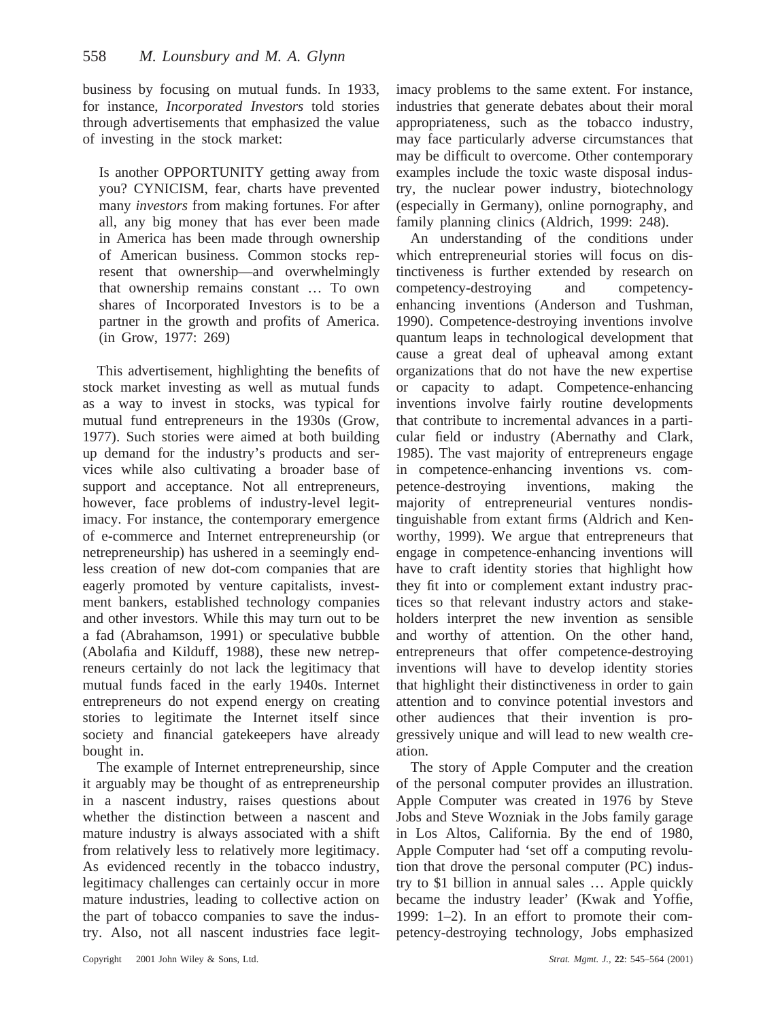business by focusing on mutual funds. In 1933, for instance, *Incorporated Investors* told stories through advertisements that emphasized the value of investing in the stock market:

Is another OPPORTUNITY getting away from you? CYNICISM, fear, charts have prevented many *investors* from making fortunes. For after all, any big money that has ever been made in America has been made through ownership of American business. Common stocks represent that ownership—and overwhelmingly that ownership remains constant … To own shares of Incorporated Investors is to be a partner in the growth and profits of America. (in Grow, 1977: 269)

This advertisement, highlighting the benefits of stock market investing as well as mutual funds as a way to invest in stocks, was typical for mutual fund entrepreneurs in the 1930s (Grow, 1977). Such stories were aimed at both building up demand for the industry's products and services while also cultivating a broader base of support and acceptance. Not all entrepreneurs, however, face problems of industry-level legitimacy. For instance, the contemporary emergence of e-commerce and Internet entrepreneurship (or netrepreneurship) has ushered in a seemingly endless creation of new dot-com companies that are eagerly promoted by venture capitalists, investment bankers, established technology companies and other investors. While this may turn out to be a fad (Abrahamson, 1991) or speculative bubble (Abolafia and Kilduff, 1988), these new netrepreneurs certainly do not lack the legitimacy that mutual funds faced in the early 1940s. Internet entrepreneurs do not expend energy on creating stories to legitimate the Internet itself since society and financial gatekeepers have already bought in.

The example of Internet entrepreneurship, since it arguably may be thought of as entrepreneurship in a nascent industry, raises questions about whether the distinction between a nascent and mature industry is always associated with a shift from relatively less to relatively more legitimacy. As evidenced recently in the tobacco industry, legitimacy challenges can certainly occur in more mature industries, leading to collective action on the part of tobacco companies to save the industry. Also, not all nascent industries face legitimacy problems to the same extent. For instance, industries that generate debates about their moral appropriateness, such as the tobacco industry, may face particularly adverse circumstances that may be difficult to overcome. Other contemporary examples include the toxic waste disposal industry, the nuclear power industry, biotechnology (especially in Germany), online pornography, and family planning clinics (Aldrich, 1999: 248).

An understanding of the conditions under which entrepreneurial stories will focus on distinctiveness is further extended by research on competency-destroying and competencyenhancing inventions (Anderson and Tushman, 1990). Competence-destroying inventions involve quantum leaps in technological development that cause a great deal of upheaval among extant organizations that do not have the new expertise or capacity to adapt. Competence-enhancing inventions involve fairly routine developments that contribute to incremental advances in a particular field or industry (Abernathy and Clark, 1985). The vast majority of entrepreneurs engage in competence-enhancing inventions vs. competence-destroying inventions, making the majority of entrepreneurial ventures nondistinguishable from extant firms (Aldrich and Kenworthy, 1999). We argue that entrepreneurs that engage in competence-enhancing inventions will have to craft identity stories that highlight how they fit into or complement extant industry practices so that relevant industry actors and stakeholders interpret the new invention as sensible and worthy of attention. On the other hand, entrepreneurs that offer competence-destroying inventions will have to develop identity stories that highlight their distinctiveness in order to gain attention and to convince potential investors and other audiences that their invention is progressively unique and will lead to new wealth creation.

The story of Apple Computer and the creation of the personal computer provides an illustration. Apple Computer was created in 1976 by Steve Jobs and Steve Wozniak in the Jobs family garage in Los Altos, California. By the end of 1980, Apple Computer had 'set off a computing revolution that drove the personal computer (PC) industry to \$1 billion in annual sales … Apple quickly became the industry leader' (Kwak and Yoffie, 1999: 1–2). In an effort to promote their competency-destroying technology, Jobs emphasized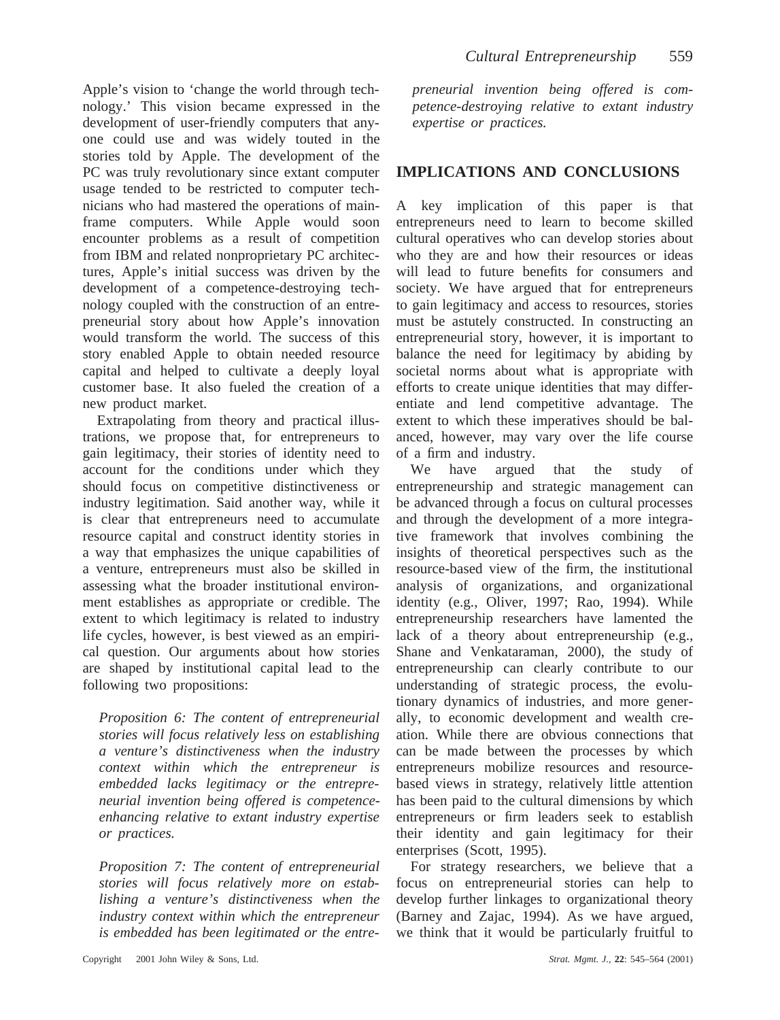Apple's vision to 'change the world through technology.' This vision became expressed in the development of user-friendly computers that anyone could use and was widely touted in the stories told by Apple. The development of the PC was truly revolutionary since extant computer usage tended to be restricted to computer technicians who had mastered the operations of mainframe computers. While Apple would soon encounter problems as a result of competition from IBM and related nonproprietary PC architectures, Apple's initial success was driven by the development of a competence-destroying technology coupled with the construction of an entrepreneurial story about how Apple's innovation would transform the world. The success of this story enabled Apple to obtain needed resource capital and helped to cultivate a deeply loyal customer base. It also fueled the creation of a new product market.

Extrapolating from theory and practical illustrations, we propose that, for entrepreneurs to gain legitimacy, their stories of identity need to account for the conditions under which they should focus on competitive distinctiveness or industry legitimation. Said another way, while it is clear that entrepreneurs need to accumulate resource capital and construct identity stories in a way that emphasizes the unique capabilities of a venture, entrepreneurs must also be skilled in assessing what the broader institutional environment establishes as appropriate or credible. The extent to which legitimacy is related to industry life cycles, however, is best viewed as an empirical question. Our arguments about how stories are shaped by institutional capital lead to the following two propositions:

*Proposition 6: The content of entrepreneurial stories will focus relatively less on establishing a venture's distinctiveness when the industry context within which the entrepreneur is embedded lacks legitimacy or the entrepreneurial invention being offered is competenceenhancing relative to extant industry expertise or practices.*

*Proposition 7: The content of entrepreneurial stories will focus relatively more on establishing a venture's distinctiveness when the industry context within which the entrepreneur is embedded has been legitimated or the entre-* *preneurial invention being offered is competence-destroying relative to extant industry expertise or practices.*

# **IMPLICATIONS AND CONCLUSIONS**

A key implication of this paper is that entrepreneurs need to learn to become skilled cultural operatives who can develop stories about who they are and how their resources or ideas will lead to future benefits for consumers and society. We have argued that for entrepreneurs to gain legitimacy and access to resources, stories must be astutely constructed. In constructing an entrepreneurial story, however, it is important to balance the need for legitimacy by abiding by societal norms about what is appropriate with efforts to create unique identities that may differentiate and lend competitive advantage. The extent to which these imperatives should be balanced, however, may vary over the life course of a firm and industry.

We have argued that the study of entrepreneurship and strategic management can be advanced through a focus on cultural processes and through the development of a more integrative framework that involves combining the insights of theoretical perspectives such as the resource-based view of the firm, the institutional analysis of organizations, and organizational identity (e.g., Oliver, 1997; Rao, 1994). While entrepreneurship researchers have lamented the lack of a theory about entrepreneurship (e.g., Shane and Venkataraman, 2000), the study of entrepreneurship can clearly contribute to our understanding of strategic process, the evolutionary dynamics of industries, and more generally, to economic development and wealth creation. While there are obvious connections that can be made between the processes by which entrepreneurs mobilize resources and resourcebased views in strategy, relatively little attention has been paid to the cultural dimensions by which entrepreneurs or firm leaders seek to establish their identity and gain legitimacy for their enterprises (Scott, 1995).

For strategy researchers, we believe that a focus on entrepreneurial stories can help to develop further linkages to organizational theory (Barney and Zajac, 1994). As we have argued, we think that it would be particularly fruitful to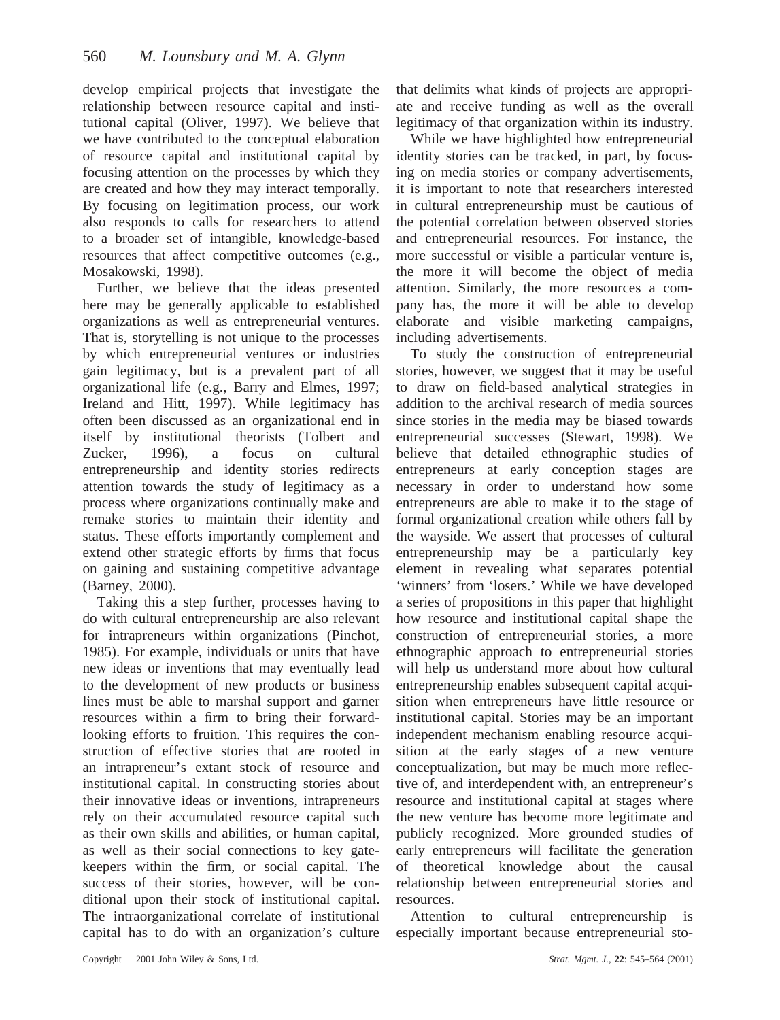develop empirical projects that investigate the relationship between resource capital and institutional capital (Oliver, 1997). We believe that we have contributed to the conceptual elaboration of resource capital and institutional capital by focusing attention on the processes by which they are created and how they may interact temporally. By focusing on legitimation process, our work also responds to calls for researchers to attend to a broader set of intangible, knowledge-based resources that affect competitive outcomes (e.g., Mosakowski, 1998).

Further, we believe that the ideas presented here may be generally applicable to established organizations as well as entrepreneurial ventures. That is, storytelling is not unique to the processes by which entrepreneurial ventures or industries gain legitimacy, but is a prevalent part of all organizational life (e.g., Barry and Elmes, 1997; Ireland and Hitt, 1997). While legitimacy has often been discussed as an organizational end in itself by institutional theorists (Tolbert and Zucker, 1996), a focus on cultural entrepreneurship and identity stories redirects attention towards the study of legitimacy as a process where organizations continually make and remake stories to maintain their identity and status. These efforts importantly complement and extend other strategic efforts by firms that focus on gaining and sustaining competitive advantage (Barney, 2000).

Taking this a step further, processes having to do with cultural entrepreneurship are also relevant for intrapreneurs within organizations (Pinchot, 1985). For example, individuals or units that have new ideas or inventions that may eventually lead to the development of new products or business lines must be able to marshal support and garner resources within a firm to bring their forwardlooking efforts to fruition. This requires the construction of effective stories that are rooted in an intrapreneur's extant stock of resource and institutional capital. In constructing stories about their innovative ideas or inventions, intrapreneurs rely on their accumulated resource capital such as their own skills and abilities, or human capital, as well as their social connections to key gatekeepers within the firm, or social capital. The success of their stories, however, will be conditional upon their stock of institutional capital. The intraorganizational correlate of institutional capital has to do with an organization's culture

that delimits what kinds of projects are appropriate and receive funding as well as the overall legitimacy of that organization within its industry.

While we have highlighted how entrepreneurial identity stories can be tracked, in part, by focusing on media stories or company advertisements, it is important to note that researchers interested in cultural entrepreneurship must be cautious of the potential correlation between observed stories and entrepreneurial resources. For instance, the more successful or visible a particular venture is, the more it will become the object of media attention. Similarly, the more resources a company has, the more it will be able to develop elaborate and visible marketing campaigns, including advertisements.

To study the construction of entrepreneurial stories, however, we suggest that it may be useful to draw on field-based analytical strategies in addition to the archival research of media sources since stories in the media may be biased towards entrepreneurial successes (Stewart, 1998). We believe that detailed ethnographic studies of entrepreneurs at early conception stages are necessary in order to understand how some entrepreneurs are able to make it to the stage of formal organizational creation while others fall by the wayside. We assert that processes of cultural entrepreneurship may be a particularly key element in revealing what separates potential 'winners' from 'losers.' While we have developed a series of propositions in this paper that highlight how resource and institutional capital shape the construction of entrepreneurial stories, a more ethnographic approach to entrepreneurial stories will help us understand more about how cultural entrepreneurship enables subsequent capital acquisition when entrepreneurs have little resource or institutional capital. Stories may be an important independent mechanism enabling resource acquisition at the early stages of a new venture conceptualization, but may be much more reflective of, and interdependent with, an entrepreneur's resource and institutional capital at stages where the new venture has become more legitimate and publicly recognized. More grounded studies of early entrepreneurs will facilitate the generation of theoretical knowledge about the causal relationship between entrepreneurial stories and resources.

Attention to cultural entrepreneurship is especially important because entrepreneurial sto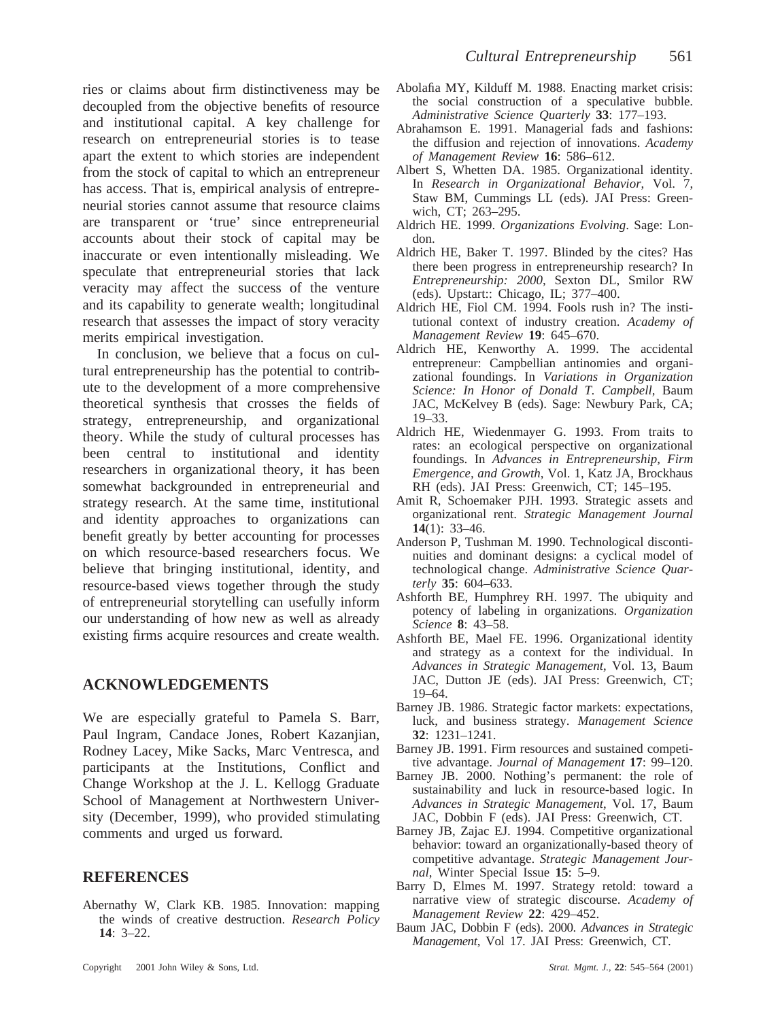ries or claims about firm distinctiveness may be decoupled from the objective benefits of resource and institutional capital. A key challenge for research on entrepreneurial stories is to tease apart the extent to which stories are independent from the stock of capital to which an entrepreneur has access. That is, empirical analysis of entrepreneurial stories cannot assume that resource claims are transparent or 'true' since entrepreneurial accounts about their stock of capital may be inaccurate or even intentionally misleading. We speculate that entrepreneurial stories that lack veracity may affect the success of the venture and its capability to generate wealth; longitudinal research that assesses the impact of story veracity merits empirical investigation.

In conclusion, we believe that a focus on cultural entrepreneurship has the potential to contribute to the development of a more comprehensive theoretical synthesis that crosses the fields of strategy, entrepreneurship, and organizational theory. While the study of cultural processes has been central to institutional and identity researchers in organizational theory, it has been somewhat backgrounded in entrepreneurial and strategy research. At the same time, institutional and identity approaches to organizations can benefit greatly by better accounting for processes on which resource-based researchers focus. We believe that bringing institutional, identity, and resource-based views together through the study of entrepreneurial storytelling can usefully inform our understanding of how new as well as already existing firms acquire resources and create wealth.

#### **ACKNOWLEDGEMENTS**

We are especially grateful to Pamela S. Barr, Paul Ingram, Candace Jones, Robert Kazanjian, Rodney Lacey, Mike Sacks, Marc Ventresca, and participants at the Institutions, Conflict and Change Workshop at the J. L. Kellogg Graduate School of Management at Northwestern University (December, 1999), who provided stimulating comments and urged us forward.

#### **REFERENCES**

Abernathy W, Clark KB. 1985. Innovation: mapping the winds of creative destruction. *Research Policy* **14**: 3–22.

- Abolafia MY, Kilduff M. 1988. Enacting market crisis: the social construction of a speculative bubble. *Administrative Science Quarterly* **33**: 177–193.
- Abrahamson E. 1991. Managerial fads and fashions: the diffusion and rejection of innovations. *Academy of Management Review* **16**: 586–612.
- Albert S, Whetten DA. 1985. Organizational identity. In *Research in Organizational Behavior*, Vol. 7, Staw BM, Cummings LL (eds). JAI Press: Greenwich, CT; 263–295.
- Aldrich HE. 1999. *Organizations Evolving*. Sage: London.
- Aldrich HE, Baker T. 1997. Blinded by the cites? Has there been progress in entrepreneurship research? In *Entrepreneurship: 2000*, Sexton DL, Smilor RW (eds). Upstart:: Chicago, IL; 377–400.
- Aldrich HE, Fiol CM. 1994. Fools rush in? The institutional context of industry creation. *Academy of Management Review* **19**: 645–670.
- Aldrich HE, Kenworthy A. 1999. The accidental entrepreneur: Campbellian antinomies and organizational foundings. In *Variations in Organization Science: In Honor of Donald T. Campbell*, Baum JAC, McKelvey B (eds). Sage: Newbury Park, CA; 19–33.
- Aldrich HE, Wiedenmayer G. 1993. From traits to rates: an ecological perspective on organizational foundings. In *Advances in Entrepreneurship, Firm Emergence, and Growth*, Vol. 1, Katz JA, Brockhaus RH (eds). JAI Press: Greenwich, CT; 145–195.
- Amit R, Schoemaker PJH. 1993. Strategic assets and organizational rent. *Strategic Management Journal* **14**(1): 33–46.
- Anderson P, Tushman M. 1990. Technological discontinuities and dominant designs: a cyclical model of technological change. *Administrative Science Quarterly* **35**: 604–633.
- Ashforth BE, Humphrey RH. 1997. The ubiquity and potency of labeling in organizations. *Organization Science* **8**: 43–58.
- Ashforth BE, Mael FE. 1996. Organizational identity and strategy as a context for the individual. In *Advances in Strategic Management*, Vol. 13, Baum JAC, Dutton JE (eds). JAI Press: Greenwich, CT; 19–64.
- Barney JB. 1986. Strategic factor markets: expectations, luck, and business strategy. *Management Science* **32**: 1231–1241.
- Barney JB. 1991. Firm resources and sustained competitive advantage. *Journal of Management* **17**: 99–120.
- Barney JB. 2000. Nothing's permanent: the role of sustainability and luck in resource-based logic. In *Advances in Strategic Management*, Vol. 17, Baum JAC, Dobbin F (eds). JAI Press: Greenwich, CT.
- Barney JB, Zajac EJ. 1994. Competitive organizational behavior: toward an organizationally-based theory of competitive advantage. *Strategic Management Journal*, Winter Special Issue **15**: 5–9.
- Barry D, Elmes M. 1997. Strategy retold: toward a narrative view of strategic discourse. *Academy of Management Review* **22**: 429–452.
- Baum JAC, Dobbin F (eds). 2000. *Advances in Strategic Management*, Vol 17. JAI Press: Greenwich, CT.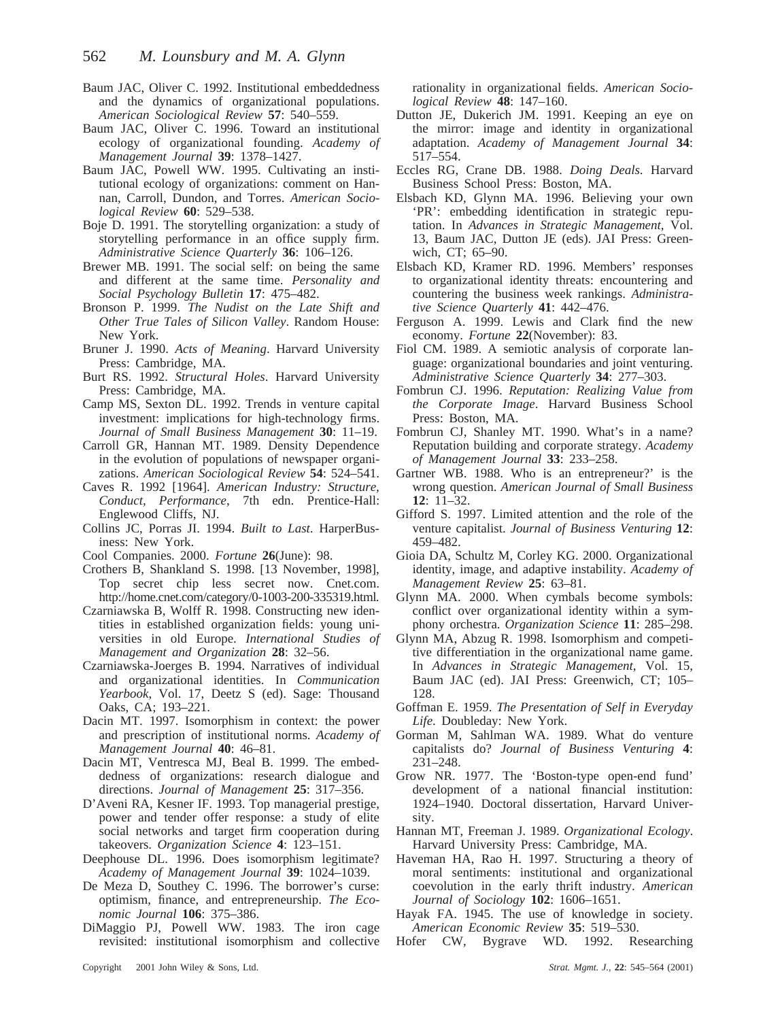- Baum JAC, Oliver C. 1992. Institutional embeddedness and the dynamics of organizational populations. *American Sociological Review* **57**: 540–559.
- Baum JAC, Oliver C. 1996. Toward an institutional ecology of organizational founding. *Academy of Management Journal* **39**: 1378–1427.
- Baum JAC, Powell WW. 1995. Cultivating an institutional ecology of organizations: comment on Hannan, Carroll, Dundon, and Torres. *American Sociological Review* **60**: 529–538.
- Boje D. 1991. The storytelling organization: a study of storytelling performance in an office supply firm. *Administrative Science Quarterly* **36**: 106–126.
- Brewer MB. 1991. The social self: on being the same and different at the same time. *Personality and Social Psychology Bulletin* **17**: 475–482.
- Bronson P. 1999. *The Nudist on the Late Shift and Other True Tales of Silicon Valley*. Random House: New York.
- Bruner J. 1990. *Acts of Meaning*. Harvard University Press: Cambridge, MA.
- Burt RS. 1992. *Structural Holes*. Harvard University Press: Cambridge, MA.
- Camp MS, Sexton DL. 1992. Trends in venture capital investment: implications for high-technology firms. *Journal of Small Business Management* **30**: 11–19.
- Carroll GR, Hannan MT. 1989. Density Dependence in the evolution of populations of newspaper organizations. *American Sociological Review* **54**: 524–541.
- Caves R. 1992 [1964]. *American Industry: Structure, Conduct, Performance*, 7th edn. Prentice-Hall: Englewood Cliffs, NJ.
- Collins JC, Porras JI. 1994. *Built to Last*. HarperBusiness: New York.
- Cool Companies. 2000. *Fortune* **26**(June): 98.
- Crothers B, Shankland S. 1998. [13 November, 1998], Top secret chip less secret now. Cnet.com. http://home.cnet.com/category/0-1003-200-335319.html.
- Czarniawska B, Wolff R. 1998. Constructing new identities in established organization fields: young universities in old Europe. *International Studies of Management and Organization* **28**: 32–56.
- Czarniawska-Joerges B. 1994. Narratives of individual and organizational identities. In *Communication Yearbook*, Vol. 17, Deetz S (ed). Sage: Thousand Oaks, CA; 193–221.
- Dacin MT. 1997. Isomorphism in context: the power and prescription of institutional norms. *Academy of Management Journal* **40**: 46–81.
- Dacin MT, Ventresca MJ, Beal B. 1999. The embeddedness of organizations: research dialogue and directions. *Journal of Management* **25**: 317–356.
- D'Aveni RA, Kesner IF. 1993. Top managerial prestige, power and tender offer response: a study of elite social networks and target firm cooperation during takeovers. *Organization Science* **4**: 123–151.
- Deephouse DL. 1996. Does isomorphism legitimate? *Academy of Management Journal* **39**: 1024–1039.
- De Meza D, Southey C. 1996. The borrower's curse: optimism, finance, and entrepreneurship. *The Economic Journal* **106**: 375–386.
- DiMaggio PJ, Powell WW. 1983. The iron cage revisited: institutional isomorphism and collective

rationality in organizational fields. *American Sociological Review* **48**: 147–160.

- Dutton JE, Dukerich JM. 1991. Keeping an eye on the mirror: image and identity in organizational adaptation. *Academy of Management Journal* **34**: 517–554.
- Eccles RG, Crane DB. 1988. *Doing Deals*. Harvard Business School Press: Boston, MA.
- Elsbach KD, Glynn MA. 1996. Believing your own 'PR': embedding identification in strategic reputation. In *Advances in Strategic Management*, Vol. 13, Baum JAC, Dutton JE (eds). JAI Press: Greenwich, CT; 65–90.
- Elsbach KD, Kramer RD. 1996. Members' responses to organizational identity threats: encountering and countering the business week rankings. *Administrative Science Quarterly* **41**: 442–476.
- Ferguson A. 1999. Lewis and Clark find the new economy. *Fortune* **22**(November): 83.
- Fiol CM. 1989. A semiotic analysis of corporate language: organizational boundaries and joint venturing. *Administrative Science Quarterly* **34**: 277–303.
- Fombrun CJ. 1996. *Reputation: Realizing Value from the Corporate Image*. Harvard Business School Press: Boston, MA.
- Fombrun CJ, Shanley MT. 1990. What's in a name? Reputation building and corporate strategy. *Academy of Management Journal* **33**: 233–258.
- Gartner WB. 1988. Who is an entrepreneur?' is the wrong question. *American Journal of Small Business* **12**: 11–32.
- Gifford S. 1997. Limited attention and the role of the venture capitalist. *Journal of Business Venturing* **12**: 459–482.
- Gioia DA, Schultz M, Corley KG. 2000. Organizational identity, image, and adaptive instability. *Academy of Management Review* **25**: 63–81.
- Glynn MA. 2000. When cymbals become symbols: conflict over organizational identity within a symphony orchestra. *Organization Science* **11**: 285–298.
- Glynn MA, Abzug R. 1998. Isomorphism and competitive differentiation in the organizational name game. In *Advances in Strategic Management*, Vol. 15, Baum JAC (ed). JAI Press: Greenwich, CT; 105– 128.
- Goffman E. 1959. *The Presentation of Self in Everyday Life*. Doubleday: New York.
- Gorman M, Sahlman WA. 1989. What do venture capitalists do? *Journal of Business Venturing* **4**: 231–248.
- Grow NR. 1977. The 'Boston-type open-end fund' development of a national financial institution: 1924–1940. Doctoral dissertation, Harvard University.
- Hannan MT, Freeman J. 1989. *Organizational Ecology*. Harvard University Press: Cambridge, MA.
- Haveman HA, Rao H. 1997. Structuring a theory of moral sentiments: institutional and organizational coevolution in the early thrift industry. *American Journal of Sociology* **102**: 1606–1651.
- Hayak FA. 1945. The use of knowledge in society. *American Economic Review* **35**: 519–530.
- Hofer CW, Bygrave WD. 1992. Researching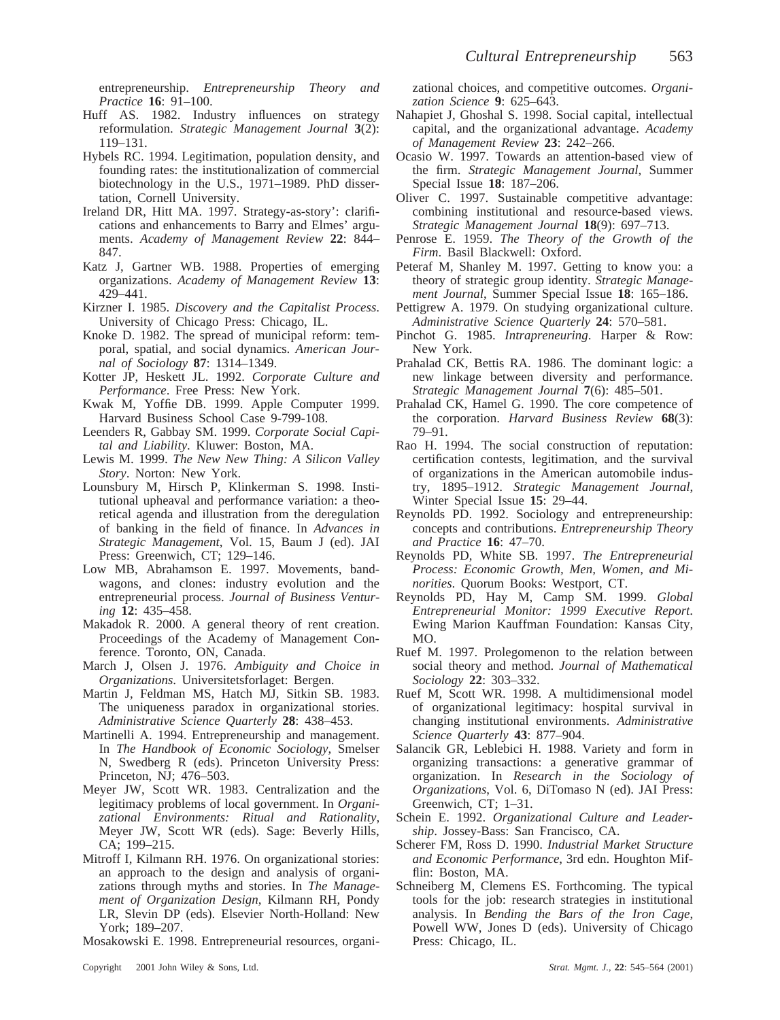entrepreneurship. *Entrepreneurship Theory and Practice* **16**: 91–100.

- Huff AS. 1982. Industry influences on strategy reformulation. *Strategic Management Journal* **3**(2): 119–131.
- Hybels RC. 1994. Legitimation, population density, and founding rates: the institutionalization of commercial biotechnology in the U.S., 1971–1989. PhD dissertation, Cornell University.
- Ireland DR, Hitt MA. 1997. Strategy-as-story': clarifications and enhancements to Barry and Elmes' arguments. *Academy of Management Review* **22**: 844– 847.
- Katz J, Gartner WB. 1988. Properties of emerging organizations. *Academy of Management Review* **13**: 429–441.
- Kirzner I. 1985. *Discovery and the Capitalist Process*. University of Chicago Press: Chicago, IL.
- Knoke D. 1982. The spread of municipal reform: temporal, spatial, and social dynamics. *American Journal of Sociology* **87**: 1314–1349.
- Kotter JP, Heskett JL. 1992. *Corporate Culture and Performance*. Free Press: New York.
- Kwak M, Yoffie DB. 1999. Apple Computer 1999. Harvard Business School Case 9-799-108.
- Leenders R, Gabbay SM. 1999. *Corporate Social Capital and Liability*. Kluwer: Boston, MA.
- Lewis M. 1999. *The New New Thing: A Silicon Valley Story*. Norton: New York.
- Lounsbury M, Hirsch P, Klinkerman S. 1998. Institutional upheaval and performance variation: a theoretical agenda and illustration from the deregulation of banking in the field of finance. In *Advances in Strategic Management*, Vol. 15, Baum J (ed). JAI Press: Greenwich, CT; 129–146.
- Low MB, Abrahamson E. 1997. Movements, bandwagons, and clones: industry evolution and the entrepreneurial process. *Journal of Business Venturing* **12**: 435–458.
- Makadok R. 2000. A general theory of rent creation. Proceedings of the Academy of Management Conference. Toronto, ON, Canada.
- March J, Olsen J. 1976. *Ambiguity and Choice in Organizations*. Universitetsforlaget: Bergen.
- Martin J, Feldman MS, Hatch MJ, Sitkin SB. 1983. The uniqueness paradox in organizational stories. *Administrative Science Quarterly* **28**: 438–453.
- Martinelli A. 1994. Entrepreneurship and management. In *The Handbook of Economic Sociology*, Smelser N, Swedberg R (eds). Princeton University Press: Princeton, NJ; 476–503.
- Meyer JW, Scott WR. 1983. Centralization and the legitimacy problems of local government. In *Organizational Environments: Ritual and Rationality*, Meyer JW, Scott WR (eds). Sage: Beverly Hills, CA; 199–215.
- Mitroff I, Kilmann RH. 1976. On organizational stories: an approach to the design and analysis of organizations through myths and stories. In *The Management of Organization Design*, Kilmann RH, Pondy LR, Slevin DP (eds). Elsevier North-Holland: New York; 189–207.
- Mosakowski E. 1998. Entrepreneurial resources, organi-

zational choices, and competitive outcomes. *Organization Science* **9**: 625–643.

- Nahapiet J, Ghoshal S. 1998. Social capital, intellectual capital, and the organizational advantage. *Academy of Management Review* **23**: 242–266.
- Ocasio W. 1997. Towards an attention-based view of the firm. *Strategic Management Journal*, Summer Special Issue **18**: 187–206.
- Oliver C. 1997. Sustainable competitive advantage: combining institutional and resource-based views. *Strategic Management Journal* **18**(9): 697–713.
- Penrose E. 1959. *The Theory of the Growth of the Firm*. Basil Blackwell: Oxford.
- Peteraf M, Shanley M. 1997. Getting to know you: a theory of strategic group identity. *Strategic Management Journal*, Summer Special Issue **18**: 165–186.
- Pettigrew A. 1979. On studying organizational culture. *Administrative Science Quarterly* **24**: 570–581.
- Pinchot G. 1985. *Intrapreneuring*. Harper & Row: New York.
- Prahalad CK, Bettis RA. 1986. The dominant logic: a new linkage between diversity and performance. *Strategic Management Journal* **7**(6): 485–501.
- Prahalad CK, Hamel G. 1990. The core competence of the corporation. *Harvard Business Review* **68**(3): 79–91.
- Rao H. 1994. The social construction of reputation: certification contests, legitimation, and the survival of organizations in the American automobile industry, 1895–1912. *Strategic Management Journal*, Winter Special Issue **15**: 29–44.
- Reynolds PD. 1992. Sociology and entrepreneurship: concepts and contributions. *Entrepreneurship Theory and Practice* **16**: 47–70.
- Reynolds PD, White SB. 1997. *The Entrepreneurial Process: Economic Growth, Men, Women, and Minorities*. Quorum Books: Westport, CT.
- Reynolds PD, Hay M, Camp SM. 1999. *Global Entrepreneurial Monitor: 1999 Executive Report*. Ewing Marion Kauffman Foundation: Kansas City, MO.
- Ruef M. 1997. Prolegomenon to the relation between social theory and method. *Journal of Mathematical Sociology* **22**: 303–332.
- Ruef M, Scott WR. 1998. A multidimensional model of organizational legitimacy: hospital survival in changing institutional environments. *Administrative Science Quarterly* **43**: 877–904.
- Salancik GR, Leblebici H. 1988. Variety and form in organizing transactions: a generative grammar of organization. In *Research in the Sociology of Organizations*, Vol. 6, DiTomaso N (ed). JAI Press: Greenwich, CT; 1–31.
- Schein E. 1992. *Organizational Culture and Leadership*. Jossey-Bass: San Francisco, CA.
- Scherer FM, Ross D. 1990. *Industrial Market Structure and Economic Performance*, 3rd edn. Houghton Mifflin: Boston, MA.
- Schneiberg M, Clemens ES. Forthcoming. The typical tools for the job: research strategies in institutional analysis. In *Bending the Bars of the Iron Cage*, Powell WW, Jones D (eds). University of Chicago Press: Chicago, IL.